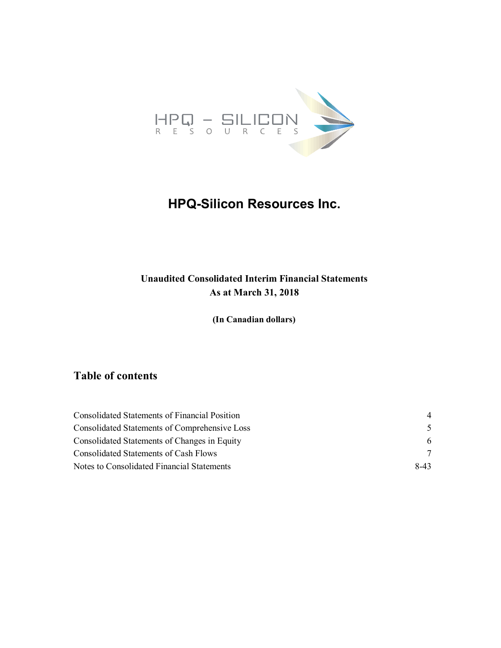

# **HPQ-Silicon Resources Inc.**

### **Unaudited Consolidated Interim Financial Statements As at March 31, 2018**

**(In Canadian dollars)**

### **Table of contents**

| <b>Consolidated Statements of Financial Position</b> | 4             |
|------------------------------------------------------|---------------|
| <b>Consolidated Statements of Comprehensive Loss</b> | $\mathcal{F}$ |
| Consolidated Statements of Changes in Equity         | 6             |
| Consolidated Statements of Cash Flows                | 7             |
| Notes to Consolidated Financial Statements           | $8-43$        |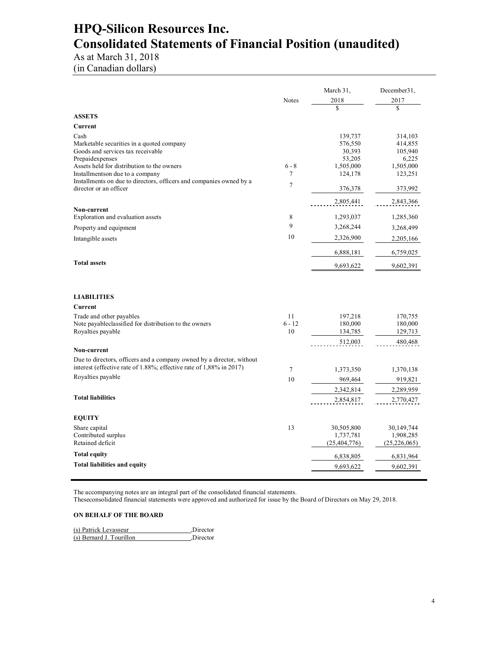## **HPQ-Silicon Resources Inc. Consolidated Statements of Financial Position (unaudited)**

## As at March 31, 2018

(in Canadian dollars)

|                                                                                                                                                                          |                      | March 31,                                 | December31,                               |
|--------------------------------------------------------------------------------------------------------------------------------------------------------------------------|----------------------|-------------------------------------------|-------------------------------------------|
|                                                                                                                                                                          | <b>Notes</b>         | 2018<br>\$                                | 2017<br>\$                                |
| <b>ASSETS</b>                                                                                                                                                            |                      |                                           |                                           |
| Current                                                                                                                                                                  |                      |                                           |                                           |
| Cash<br>Marketable securities in a quoted company<br>Goods and services tax receivable                                                                                   |                      | 139,737<br>576,550<br>30,393              | 314,103<br>414,855<br>105,940             |
| Prepaidexpenses<br>Assets held for distribution to the owners<br>Installments on due to a company<br>Installments on due to directors, officers and companies owned by a | $6 - 8$<br>7         | 53,205<br>1,505,000<br>124,178            | 6,225<br>1,505,000<br>123,251             |
| director or an officer                                                                                                                                                   | $\tau$               | 376,378                                   | 373,992                                   |
|                                                                                                                                                                          |                      | 2,805,441                                 | 2,843,366                                 |
| Non-current<br>Exploration and evaluation assets                                                                                                                         | 8                    | 1,293,037                                 | 1,285,360                                 |
| Property and equipment                                                                                                                                                   | 9                    | 3,268,244                                 | 3,268,499                                 |
|                                                                                                                                                                          | 10                   | 2,326,900                                 |                                           |
| Intangible assets                                                                                                                                                        |                      |                                           | 2,205,166                                 |
|                                                                                                                                                                          |                      | 6,888,181                                 | 6,759,025                                 |
| <b>Total assets</b>                                                                                                                                                      |                      | 9,693,622                                 | 9,602,391                                 |
| <b>LIABILITIES</b>                                                                                                                                                       |                      |                                           |                                           |
| Current                                                                                                                                                                  |                      |                                           |                                           |
| Trade and other payables<br>Note payable classified for distribution to the owners<br>Royalties payable                                                                  | 11<br>$6 - 12$<br>10 | 197,218<br>180,000<br>134,785             | 170,755<br>180,000<br>129,713             |
| Non-current                                                                                                                                                              |                      | 512,003                                   | 480,468                                   |
| Due to directors, officers and a company owned by a director, without<br>interest (effective rate of 1.88%; effective rate of 1,88% in 2017)                             | 7                    | 1,373,350                                 | 1,370,138                                 |
| Royalties payable                                                                                                                                                        | 10                   | 969,464                                   | 919,821                                   |
|                                                                                                                                                                          |                      | 2,342,814                                 | 2,289,959                                 |
| <b>Total liabilities</b>                                                                                                                                                 |                      | 2,854,817                                 | 2,770,427                                 |
| <b>EQUITY</b>                                                                                                                                                            |                      |                                           |                                           |
| Share capital<br>Contributed surplus<br>Retained deficit                                                                                                                 | 13                   | 30,505,800<br>1,737,781<br>(25, 404, 776) | 30,149,744<br>1,908,285<br>(25, 226, 065) |
| <b>Total equity</b>                                                                                                                                                      |                      | 6,838,805                                 | 6,831,964                                 |
| <b>Total liabilities and equity</b>                                                                                                                                      |                      | 9,693,622                                 | 9,602,391                                 |
|                                                                                                                                                                          |                      |                                           |                                           |

The accompanying notes are an integral part of the consolidated financial statements.

Theseconsolidated financial statements were approved and authorized for issue by the Board of Directors on May 29, 2018.

#### **ON BEHALF OF THE BOARD**

| (s) Patrick Levasseur    | Director |
|--------------------------|----------|
| (s) Bernard J. Tourillon | Director |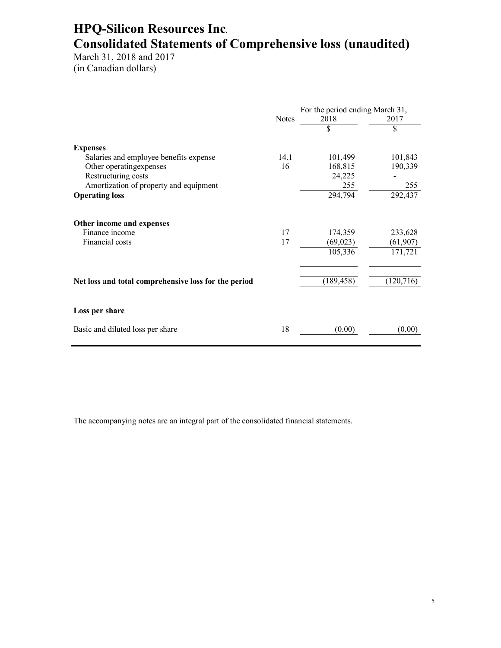# **HPQ-Silicon Resources Inc**. **Consolidated Statements of Comprehensive loss (unaudited)**

March 31, 2018 and 2017 (in Canadian dollars)

|                                                      | For the period ending March 31, |            |            |
|------------------------------------------------------|---------------------------------|------------|------------|
|                                                      | <b>Notes</b>                    | 2018<br>\$ | 2017<br>\$ |
| <b>Expenses</b>                                      |                                 |            |            |
| Salaries and employee benefits expense               | 14.1                            | 101,499    | 101,843    |
| Other operating expenses                             | 16                              | 168,815    | 190,339    |
| Restructuring costs                                  |                                 | 24,225     |            |
| Amortization of property and equipment               |                                 | 255        | 255        |
| <b>Operating loss</b>                                |                                 | 294,794    | 292,437    |
| Other income and expenses                            |                                 |            |            |
| Finance income                                       | 17                              | 174,359    | 233,628    |
| Financial costs                                      | 17                              | (69, 023)  | (61, 907)  |
|                                                      |                                 | 105,336    | 171,721    |
|                                                      |                                 |            |            |
| Net loss and total comprehensive loss for the period |                                 | (189, 458) | (120, 716) |
| Loss per share                                       |                                 |            |            |
| Basic and diluted loss per share                     | 18                              | (0.00)     | (0.00)     |

The accompanying notes are an integral part of the consolidated financial statements.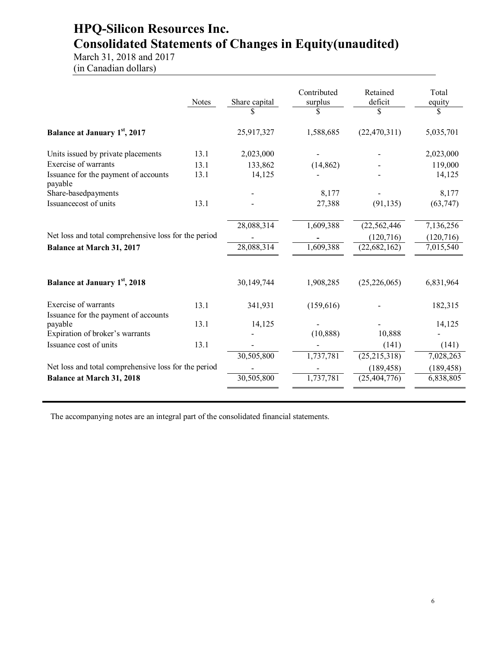## **HPQ-Silicon Resources Inc. Consolidated Statements of Changes in Equity(unaudited)**

March 31, 2018 and 2017 (in Canadian dollars)

|                                                              | <b>Notes</b> | Share capital | Contributed<br>surplus<br>\$ | Retained<br>deficit<br>\$ | Total<br>equity<br>\$ |
|--------------------------------------------------------------|--------------|---------------|------------------------------|---------------------------|-----------------------|
| <b>Balance at January 1st, 2017</b>                          |              | 25,917,327    | 1,588,685                    | (22, 470, 311)            | 5,035,701             |
| Units issued by private placements                           | 13.1         | 2,023,000     |                              |                           | 2,023,000             |
| Exercise of warrants                                         | 13.1         | 133,862       | (14, 862)                    |                           | 119,000               |
| Issuance for the payment of accounts<br>payable              | 13.1         | 14,125        |                              |                           | 14,125                |
| Share-basedpayments                                          |              |               | 8,177                        |                           | 8,177                 |
| Issuancecost of units                                        | 13.1         |               | 27,388                       | (91, 135)                 | (63, 747)             |
|                                                              |              | 28,088,314    | 1,609,388                    | (22, 562, 446)            | 7,136,256             |
| Net loss and total comprehensive loss for the period         |              |               |                              | (120, 716)                | (120, 716)            |
| <b>Balance at March 31, 2017</b>                             |              | 28,088,314    | 1,609,388                    | (22, 682, 162)            | 7,015,540             |
| <b>Balance at January 1st, 2018</b>                          |              | 30,149,744    | 1,908,285                    | (25, 226, 065)            | 6,831,964             |
| Exercise of warrants<br>Issuance for the payment of accounts | 13.1         | 341,931       | (159,616)                    |                           | 182,315               |
| payable                                                      | 13.1         | 14,125        |                              |                           | 14,125                |
| Expiration of broker's warrants                              |              |               | (10, 888)                    | 10,888                    |                       |
| Issuance cost of units                                       | 13.1         |               |                              | (141)                     | (141)                 |
|                                                              |              | 30,505,800    | 1,737,781                    | (25, 215, 318)            | 7,028,263             |
| Net loss and total comprehensive loss for the period         |              |               |                              | (189, 458)                | (189, 458)            |
| <b>Balance at March 31, 2018</b>                             |              | 30,505,800    | 1,737,781                    | (25, 404, 776)            | 6,838,805             |
|                                                              |              |               |                              |                           |                       |

The accompanying notes are an integral part of the consolidated financial statements.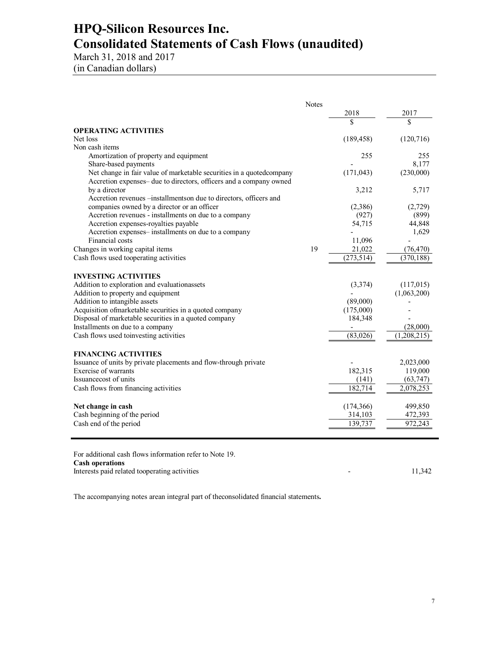### **HPQ-Silicon Resources Inc. Consolidated Statements of Cash Flows (unaudited)**

March 31, 2018 and 2017 (in Canadian dollars)

|                                                                      | <b>Notes</b> |            |               |
|----------------------------------------------------------------------|--------------|------------|---------------|
|                                                                      |              | 2018       | 2017          |
|                                                                      |              |            | \$            |
| <b>OPERATING ACTIVITIES</b>                                          |              |            |               |
| Net loss                                                             |              | (189, 458) | (120, 716)    |
| Non cash items                                                       |              |            |               |
| Amortization of property and equipment                               |              | 255        | 255           |
| Share-based payments                                                 |              |            | 8,177         |
| Net change in fair value of marketable securities in a quotedcompany |              | (171, 043) | (230,000)     |
| Accretion expenses- due to directors, officers and a company owned   |              |            |               |
| by a director                                                        |              | 3,212      | 5,717         |
| Accretion revenues -- installments on due to directors, officers and |              |            |               |
| companies owned by a director or an officer                          |              | (2,386)    | (2,729)       |
| Accretion revenues - installments on due to a company                |              | (927)      | (899)         |
| Accretion expenses-royalties payable                                 |              | 54,715     | 44,848        |
| Accretion expenses-installments on due to a company                  |              |            | 1,629         |
| Financial costs                                                      |              | 11,096     |               |
| Changes in working capital items                                     | 19           | 21,022     | (76, 470)     |
| Cash flows used tooperating activities                               |              | (273, 514) | (370, 188)    |
|                                                                      |              |            |               |
| <b>INVESTING ACTIVITIES</b>                                          |              |            |               |
| Addition to exploration and evaluationassets                         |              | (3,374)    | (117,015)     |
| Addition to property and equipment                                   |              |            | (1,063,200)   |
| Addition to intangible assets                                        |              | (89,000)   |               |
| Acquisition of marketable securities in a quoted company             |              | (175,000)  |               |
| Disposal of marketable securities in a quoted company                |              | 184,348    |               |
| Installments on due to a company                                     |              |            | (28,000)      |
| Cash flows used to<br>investing activities                           |              | (83,026)   | (1, 208, 215) |
| <b>FINANCING ACTIVITIES</b>                                          |              |            |               |
| Issuance of units by private placements and flow-through private     |              |            | 2,023,000     |
| Exercise of warrants                                                 |              | 182,315    | 119,000       |
| Issuance cost of units                                               |              | (141)      | (63, 747)     |
| Cash flows from financing activities                                 |              | 182.714    | 2,078,253     |
|                                                                      |              |            |               |
| Net change in cash                                                   |              | (174, 366) | 499,850       |
| Cash beginning of the period                                         |              | 314,103    | 472,393       |
| Cash end of the period                                               |              | 139,737    | 972.243       |
|                                                                      |              |            |               |
|                                                                      |              |            |               |

For additional cash flows information refer to Note 19. **Cash operations** Interests paid related tooperating activities - 11,342

The accompanying notes arean integral part of theconsolidated financial statements**.**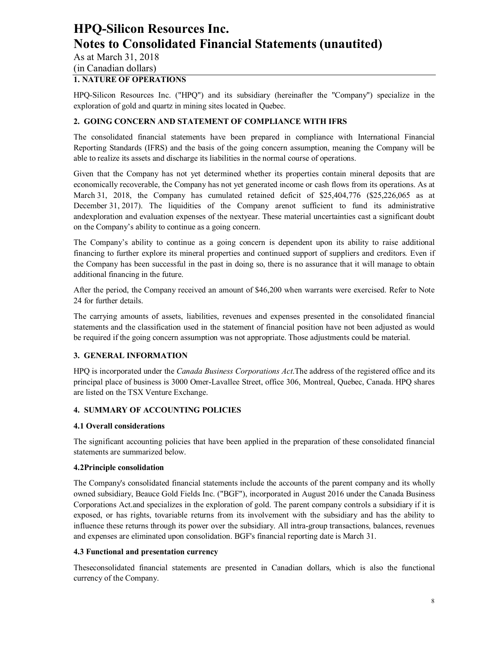As at March 31, 2018 (in Canadian dollars)

#### **1. NATURE OF OPERATIONS**

HPQ-Silicon Resources Inc. ("HPQ") and its subsidiary (hereinafter the "Company") specialize in the exploration of gold and quartz in mining sites located in Quebec.

#### **2. GOING CONCERN AND STATEMENT OF COMPLIANCE WITH IFRS**

The consolidated financial statements have been prepared in compliance with International Financial Reporting Standards (IFRS) and the basis of the going concern assumption, meaning the Company will be able to realize its assets and discharge its liabilities in the normal course of operations.

Given that the Company has not yet determined whether its properties contain mineral deposits that are economically recoverable, the Company has not yet generated income or cash flows from its operations. As at March 31, 2018, the Company has cumulated retained deficit of \$25,404,776 (\$25,226,065 as at December 31, 2017). The liquidities of the Company arenot sufficient to fund its administrative andexploration and evaluation expenses of the nextyear. These material uncertainties cast a significant doubt on the Company's ability to continue as a going concern.

The Company's ability to continue as a going concern is dependent upon its ability to raise additional financing to further explore its mineral properties and continued support of suppliers and creditors. Even if the Company has been successful in the past in doing so, there is no assurance that it will manage to obtain additional financing in the future.

After the period, the Company received an amount of \$46,200 when warrants were exercised. Refer to Note 24 for further details.

The carrying amounts of assets, liabilities, revenues and expenses presented in the consolidated financial statements and the classification used in the statement of financial position have not been adjusted as would be required if the going concern assumption was not appropriate. Those adjustments could be material.

#### **3. GENERAL INFORMATION**

HPQ is incorporated under the *Canada Business Corporations Act*.The address of the registered office and its principal place of business is 3000 Omer-Lavallee Street, office 306, Montreal, Quebec, Canada. HPQ shares are listed on the TSX Venture Exchange.

#### **4. SUMMARY OF ACCOUNTING POLICIES**

#### **4.1 Overall considerations**

The significant accounting policies that have been applied in the preparation of these consolidated financial statements are summarized below.

#### **4.2Principle consolidation**

The Company's consolidated financial statements include the accounts of the parent company and its wholly owned subsidiary, Beauce Gold Fields Inc. ("BGF"), incorporated in August 2016 under the Canada Business Corporations Act.and specializes in the exploration of gold. The parent company controls a subsidiary if it is exposed, or has rights, tovariable returns from its involvement with the subsidiary and has the ability to influence these returns through its power over the subsidiary. All intra-group transactions, balances, revenues and expenses are eliminated upon consolidation. BGF's financial reporting date is March 31.

#### **4.3 Functional and presentation currency**

Theseconsolidated financial statements are presented in Canadian dollars, which is also the functional currency of the Company.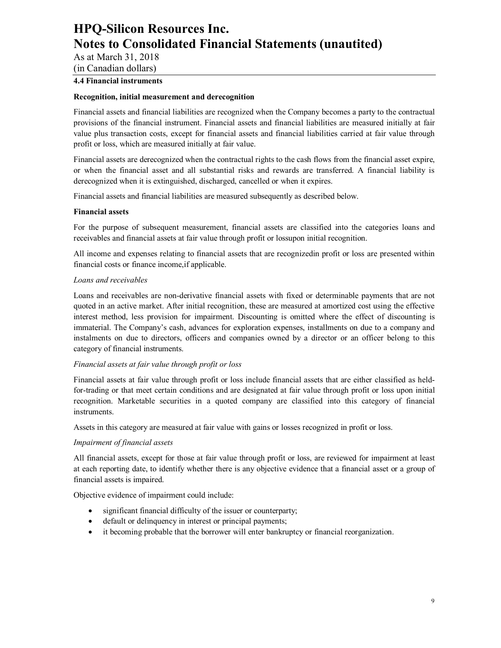As at March 31, 2018

(in Canadian dollars)

### **4.4 Financial instruments**

#### **Recognition, initial measurement and derecognition**

Financial assets and financial liabilities are recognized when the Company becomes a party to the contractual provisions of the financial instrument. Financial assets and financial liabilities are measured initially at fair value plus transaction costs, except for financial assets and financial liabilities carried at fair value through profit or loss, which are measured initially at fair value.

Financial assets are derecognized when the contractual rights to the cash flows from the financial asset expire, or when the financial asset and all substantial risks and rewards are transferred. A financial liability is derecognized when it is extinguished, discharged, cancelled or when it expires.

Financial assets and financial liabilities are measured subsequently as described below.

#### **Financial assets**

For the purpose of subsequent measurement, financial assets are classified into the categories loans and receivables and financial assets at fair value through profit or lossupon initial recognition.

All income and expenses relating to financial assets that are recognizedin profit or loss are presented within financial costs or finance income,if applicable.

#### *Loans and receivables*

Loans and receivables are non-derivative financial assets with fixed or determinable payments that are not quoted in an active market. After initial recognition, these are measured at amortized cost using the effective interest method, less provision for impairment. Discounting is omitted where the effect of discounting is immaterial. The Company's cash, advances for exploration expenses, installments on due to a company and instalments on due to directors, officers and companies owned by a director or an officer belong to this category of financial instruments.

#### *Financial assets at fair value through profit or loss*

Financial assets at fair value through profit or loss include financial assets that are either classified as heldfor-trading or that meet certain conditions and are designated at fair value through profit or loss upon initial recognition. Marketable securities in a quoted company are classified into this category of financial instruments.

Assets in this category are measured at fair value with gains or losses recognized in profit or loss.

#### *Impairment of financial assets*

All financial assets, except for those at fair value through profit or loss, are reviewed for impairment at least at each reporting date, to identify whether there is any objective evidence that a financial asset or a group of financial assets is impaired.

Objective evidence of impairment could include:

- significant financial difficulty of the issuer or counterparty;
- default or delinquency in interest or principal payments;
- it becoming probable that the borrower will enter bankruptcy or financial reorganization.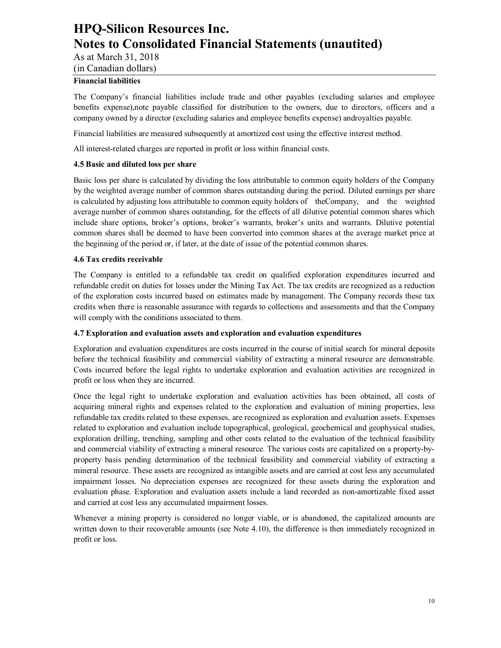As at March 31, 2018

(in Canadian dollars)

#### **Financial liabilities**

The Company's financial liabilities include trade and other payables (excluding salaries and employee benefits expense),note payable classified for distribution to the owners, due to directors, officers and a company owned by a director (excluding salaries and employee benefits expense) androyalties payable.

Financial liabilities are measured subsequently at amortized cost using the effective interest method.

All interest-related charges are reported in profit or loss within financial costs.

#### **4.5 Basic and diluted loss per share**

Basic loss per share is calculated by dividing the loss attributable to common equity holders of the Company by the weighted average number of common shares outstanding during the period. Diluted earnings per share is calculated by adjusting loss attributable to common equity holders of theCompany, and the weighted average number of common shares outstanding, for the effects of all dilutive potential common shares which include share options, broker's options, broker's warrants, broker's units and warrants. Dilutive potential common shares shall be deemed to have been converted into common shares at the average market price at the beginning of the period or, if later, at the date of issue of the potential common shares.

#### **4.6 Tax credits receivable**

The Company is entitled to a refundable tax credit on qualified exploration expenditures incurred and refundable credit on duties for losses under the Mining Tax Act. The tax credits are recognized as a reduction of the exploration costs incurred based on estimates made by management. The Company records these tax credits when there is reasonable assurance with regards to collections and assessments and that the Company will comply with the conditions associated to them.

#### **4.7 Exploration and evaluation assets and exploration and evaluation expenditures**

Exploration and evaluation expenditures are costs incurred in the course of initial search for mineral deposits before the technical feasibility and commercial viability of extracting a mineral resource are demonstrable. Costs incurred before the legal rights to undertake exploration and evaluation activities are recognized in profit or loss when they are incurred.

Once the legal right to undertake exploration and evaluation activities has been obtained, all costs of acquiring mineral rights and expenses related to the exploration and evaluation of mining properties, less refundable tax credits related to these expenses, are recognized as exploration and evaluation assets. Expenses related to exploration and evaluation include topographical, geological, geochemical and geophysical studies, exploration drilling, trenching, sampling and other costs related to the evaluation of the technical feasibility and commercial viability of extracting a mineral resource. The various costs are capitalized on a property-byproperty basis pending determination of the technical feasibility and commercial viability of extracting a mineral resource. These assets are recognized as intangible assets and are carried at cost less any accumulated impairment losses. No depreciation expenses are recognized for these assets during the exploration and evaluation phase. Exploration and evaluation assets include a land recorded as non-amortizable fixed asset and carried at cost less any accumulated impairment losses.

Whenever a mining property is considered no longer viable, or is abandoned, the capitalized amounts are written down to their recoverable amounts (see Note 4.10), the difference is then immediately recognized in profit or loss.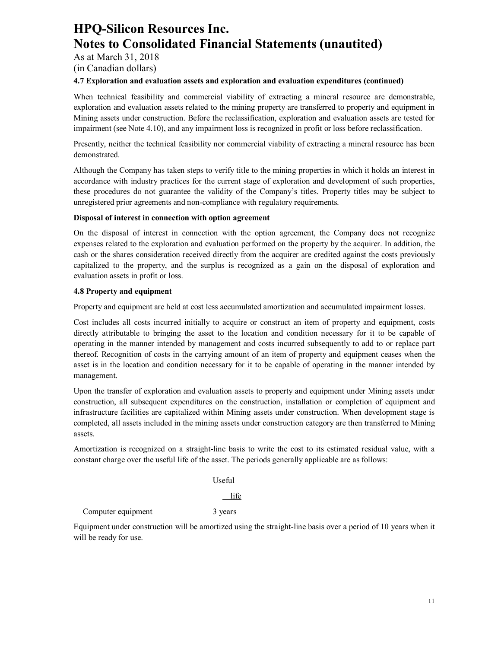As at March 31, 2018

(in Canadian dollars)

#### **4.7 Exploration and evaluation assets and exploration and evaluation expenditures (continued)**

When technical feasibility and commercial viability of extracting a mineral resource are demonstrable, exploration and evaluation assets related to the mining property are transferred to property and equipment in Mining assets under construction. Before the reclassification, exploration and evaluation assets are tested for impairment (see Note 4.10), and any impairment loss is recognized in profit or loss before reclassification.

Presently, neither the technical feasibility nor commercial viability of extracting a mineral resource has been demonstrated.

Although the Company has taken steps to verify title to the mining properties in which it holds an interest in accordance with industry practices for the current stage of exploration and development of such properties, these procedures do not guarantee the validity of the Company's titles. Property titles may be subject to unregistered prior agreements and non-compliance with regulatory requirements.

#### **Disposal of interest in connection with option agreement**

On the disposal of interest in connection with the option agreement, the Company does not recognize expenses related to the exploration and evaluation performed on the property by the acquirer. In addition, the cash or the shares consideration received directly from the acquirer are credited against the costs previously capitalized to the property, and the surplus is recognized as a gain on the disposal of exploration and evaluation assets in profit or loss.

#### **4.8 Property and equipment**

Property and equipment are held at cost less accumulated amortization and accumulated impairment losses.

Cost includes all costs incurred initially to acquire or construct an item of property and equipment, costs directly attributable to bringing the asset to the location and condition necessary for it to be capable of operating in the manner intended by management and costs incurred subsequently to add to or replace part thereof. Recognition of costs in the carrying amount of an item of property and equipment ceases when the asset is in the location and condition necessary for it to be capable of operating in the manner intended by management.

Upon the transfer of exploration and evaluation assets to property and equipment under Mining assets under construction, all subsequent expenditures on the construction, installation or completion of equipment and infrastructure facilities are capitalized within Mining assets under construction. When development stage is completed, all assets included in the mining assets under construction category are then transferred to Mining assets.

Amortization is recognized on a straight-line basis to write the cost to its estimated residual value, with a constant charge over the useful life of the asset. The periods generally applicable are as follows:

Useful

life

Computer equipment 3 years

Equipment under construction will be amortized using the straight-line basis over a period of 10 years when it will be ready for use.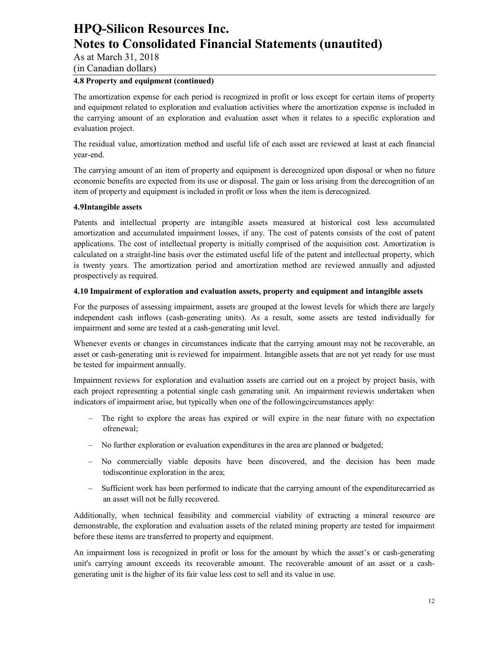As at March 31, 2018

(in Canadian dollars)

#### **4.8 Property and equipment (continued)**

The amortization expense for each period is recognized in profit or loss except for certain items of property and equipment related to exploration and evaluation activities where the amortization expense is included in the carrying amount of an exploration and evaluation asset when it relates to a specific exploration and evaluation project.

The residual value, amortization method and useful life of each asset are reviewed at least at each financial year-end.

The carrying amount of an item of property and equipment is derecognized upon disposal or when no future economic benefits are expected from its use or disposal. The gain or loss arising from the derecognition of an item of property and equipment is included in profit or loss when the item is derecognized.

#### **4.9Intangible assets**

Patents and intellectual property are intangible assets measured at historical cost less accumulated amortization and accumulated impairment losses, if any. The cost of patents consists of the cost of patent applications. The cost of intellectual property is initially comprised of the acquisition cost. Amortization is calculated on a straight-line basis over the estimated useful life of the patent and intellectual property, which is twenty years. The amortization period and amortization method are reviewed annually and adjusted prospectively as required.

#### **4.10 Impairment of exploration and evaluation assets, property and equipment and intangible assets**

For the purposes of assessing impairment, assets are grouped at the lowest levels for which there are largely independent cash inflows (cash-generating units). As a result, some assets are tested individually for impairment and some are tested at a cash-generating unit level.

Whenever events or changes in circumstances indicate that the carrying amount may not be recoverable, an asset or cash-generating unit is reviewed for impairment. Intangible assets that are not yet ready for use must be tested for impairment annually.

Impairment reviews for exploration and evaluation assets are carried out on a project by project basis, with each project representing a potential single cash generating unit. An impairment reviewis undertaken when indicators of impairment arise, but typically when one of the followingcircumstances apply:

- The right to explore the areas has expired or will expire in the near future with no expectation ofrenewal;
- No further exploration or evaluation expenditures in the area are planned or budgeted;
- No commercially viable deposits have been discovered, and the decision has been made todiscontinue exploration in the area;
- Sufficient work has been performed to indicate that the carrying amount of the expenditurecarried as an asset will not be fully recovered.

Additionally, when technical feasibility and commercial viability of extracting a mineral resource are demonstrable, the exploration and evaluation assets of the related mining property are tested for impairment before these items are transferred to property and equipment.

An impairment loss is recognized in profit or loss for the amount by which the asset's or cash-generating unit's carrying amount exceeds its recoverable amount. The recoverable amount of an asset or a cashgenerating unit is the higher of its fair value less cost to sell and its value in use.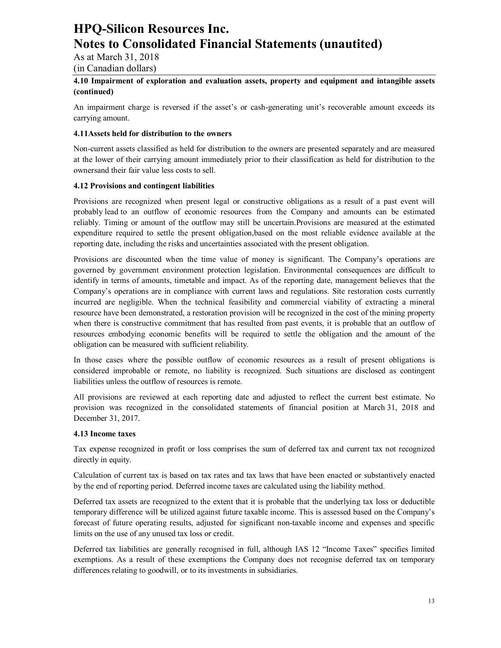As at March 31, 2018

(in Canadian dollars)

#### **4.10 Impairment of exploration and evaluation assets, property and equipment and intangible assets (continued)**

An impairment charge is reversed if the asset's or cash-generating unit's recoverable amount exceeds its carrying amount.

#### **4.11Assets held for distribution to the owners**

Non-current assets classified as held for distribution to the owners are presented separately and are measured at the lower of their carrying amount immediately prior to their classification as held for distribution to the ownersand their fair value less costs to sell.

#### **4.12 Provisions and contingent liabilities**

Provisions are recognized when present legal or constructive obligations as a result of a past event will probably lead to an outflow of economic resources from the Company and amounts can be estimated reliably. Timing or amount of the outflow may still be uncertain.Provisions are measured at the estimated expenditure required to settle the present obligation,based on the most reliable evidence available at the reporting date, including the risks and uncertainties associated with the present obligation.

Provisions are discounted when the time value of money is significant. The Company's operations are governed by government environment protection legislation. Environmental consequences are difficult to identify in terms of amounts, timetable and impact. As of the reporting date, management believes that the Company's operations are in compliance with current laws and regulations. Site restoration costs currently incurred are negligible. When the technical feasibility and commercial viability of extracting a mineral resource have been demonstrated, a restoration provision will be recognized in the cost of the mining property when there is constructive commitment that has resulted from past events, it is probable that an outflow of resources embodying economic benefits will be required to settle the obligation and the amount of the obligation can be measured with sufficient reliability.

In those cases where the possible outflow of economic resources as a result of present obligations is considered improbable or remote, no liability is recognized. Such situations are disclosed as contingent liabilities unless the outflow of resources is remote.

All provisions are reviewed at each reporting date and adjusted to reflect the current best estimate. No provision was recognized in the consolidated statements of financial position at March 31, 2018 and December 31, 2017.

#### **4.13 Income taxes**

Tax expense recognized in profit or loss comprises the sum of deferred tax and current tax not recognized directly in equity.

Calculation of current tax is based on tax rates and tax laws that have been enacted or substantively enacted by the end of reporting period. Deferred income taxes are calculated using the liability method.

Deferred tax assets are recognized to the extent that it is probable that the underlying tax loss or deductible temporary difference will be utilized against future taxable income. This is assessed based on the Company's forecast of future operating results, adjusted for significant non-taxable income and expenses and specific limits on the use of any unused tax loss or credit.

Deferred tax liabilities are generally recognised in full, although IAS 12 "Income Taxes" specifies limited exemptions. As a result of these exemptions the Company does not recognise deferred tax on temporary differences relating to goodwill, or to its investments in subsidiaries.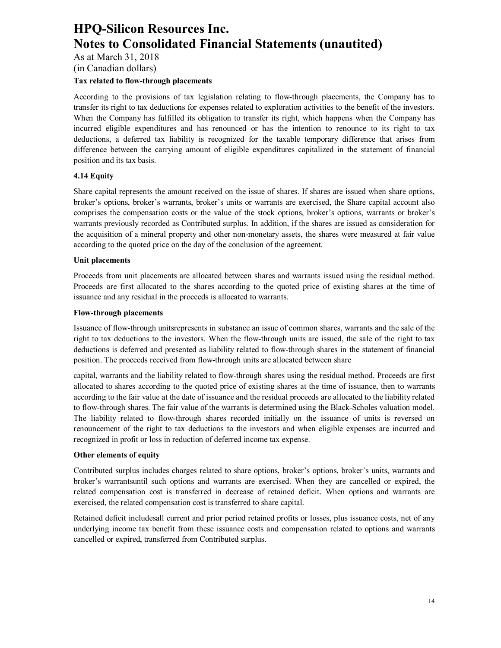As at March 31, 2018

(in Canadian dollars)

### **Tax related to flow-through placements**

According to the provisions of tax legislation relating to flow-through placements, the Company has to transfer its right to tax deductions for expenses related to exploration activities to the benefit of the investors. When the Company has fulfilled its obligation to transfer its right, which happens when the Company has incurred eligible expenditures and has renounced or has the intention to renounce to its right to tax deductions, a deferred tax liability is recognized for the taxable temporary difference that arises from difference between the carrying amount of eligible expenditures capitalized in the statement of financial position and its tax basis.

#### **4.14 Equity**

Share capital represents the amount received on the issue of shares. If shares are issued when share options, broker's options, broker's warrants, broker's units or warrants are exercised, the Share capital account also comprises the compensation costs or the value of the stock options, broker's options, warrants or broker's warrants previously recorded as Contributed surplus. In addition, if the shares are issued as consideration for the acquisition of a mineral property and other non-monetary assets, the shares were measured at fair value according to the quoted price on the day of the conclusion of the agreement.

#### **Unit placements**

Proceeds from unit placements are allocated between shares and warrants issued using the residual method. Proceeds are first allocated to the shares according to the quoted price of existing shares at the time of issuance and any residual in the proceeds is allocated to warrants.

#### **Flow-through placements**

Issuance of flow-through unitsrepresents in substance an issue of common shares, warrants and the sale of the right to tax deductions to the investors. When the flow-through units are issued, the sale of the right to tax deductions is deferred and presented as liability related to flow-through shares in the statement of financial position. The proceeds received from flow-through units are allocated between share

capital, warrants and the liability related to flow-through shares using the residual method. Proceeds are first allocated to shares according to the quoted price of existing shares at the time of issuance, then to warrants according to the fair value at the date of issuance and the residual proceeds are allocated to the liability related to flow-through shares. The fair value of the warrants is determined using the Black-Scholes valuation model. The liability related to flow-through shares recorded initially on the issuance of units is reversed on renouncement of the right to tax deductions to the investors and when eligible expenses are incurred and recognized in profit or loss in reduction of deferred income tax expense.

#### **Other elements of equity**

Contributed surplus includes charges related to share options, broker's options, broker's units, warrants and broker's warrantsuntil such options and warrants are exercised. When they are cancelled or expired, the related compensation cost is transferred in decrease of retained deficit. When options and warrants are exercised, the related compensation cost is transferred to share capital.

Retained deficit includesall current and prior period retained profits or losses, plus issuance costs, net of any underlying income tax benefit from these issuance costs and compensation related to options and warrants cancelled or expired, transferred from Contributed surplus.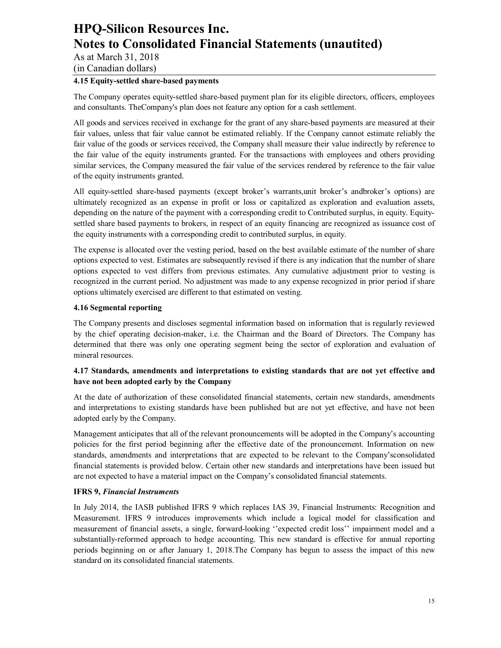As at March 31, 2018

(in Canadian dollars)

#### **4.15 Equity-settled share-based payments**

The Company operates equity-settled share-based payment plan for its eligible directors, officers, employees and consultants. TheCompany's plan does not feature any option for a cash settlement.

All goods and services received in exchange for the grant of any share-based payments are measured at their fair values, unless that fair value cannot be estimated reliably. If the Company cannot estimate reliably the fair value of the goods or services received, the Company shall measure their value indirectly by reference to the fair value of the equity instruments granted. For the transactions with employees and others providing similar services, the Company measured the fair value of the services rendered by reference to the fair value of the equity instruments granted.

All equity-settled share-based payments (except broker's warrants,unit broker's andbroker's options) are ultimately recognized as an expense in profit or loss or capitalized as exploration and evaluation assets, depending on the nature of the payment with a corresponding credit to Contributed surplus, in equity. Equitysettled share based payments to brokers, in respect of an equity financing are recognized as issuance cost of the equity instruments with a corresponding credit to contributed surplus, in equity.

The expense is allocated over the vesting period, based on the best available estimate of the number of share options expected to vest. Estimates are subsequently revised if there is any indication that the number of share options expected to vest differs from previous estimates. Any cumulative adjustment prior to vesting is recognized in the current period. No adjustment was made to any expense recognized in prior period if share options ultimately exercised are different to that estimated on vesting.

#### **4.16 Segmental reporting**

The Company presents and discloses segmental information based on information that is regularly reviewed by the chief operating decision-maker, i.e. the Chairman and the Board of Directors. The Company has determined that there was only one operating segment being the sector of exploration and evaluation of mineral resources.

#### **4.17 Standards, amendments and interpretations to existing standards that are not yet effective and have not been adopted early by the Company**

At the date of authorization of these consolidated financial statements, certain new standards, amendments and interpretations to existing standards have been published but are not yet effective, and have not been adopted early by the Company.

Management anticipates that all of the relevant pronouncements will be adopted in the Company's accounting policies for the first period beginning after the effective date of the pronouncement. Information on new standards, amendments and interpretations that are expected to be relevant to the Company'sconsolidated financial statements is provided below. Certain other new standards and interpretations have been issued but are not expected to have a material impact on the Company's consolidated financial statements.

#### **IFRS 9,** *Financial Instruments*

In July 2014, the IASB published IFRS 9 which replaces IAS 39, Financial Instruments: Recognition and Measurement. IFRS 9 introduces improvements which include a logical model for classification and measurement of financial assets, a single, forward-looking ''expected credit loss'' impairment model and a substantially-reformed approach to hedge accounting. This new standard is effective for annual reporting periods beginning on or after January 1, 2018.The Company has begun to assess the impact of this new standard on its consolidated financial statements.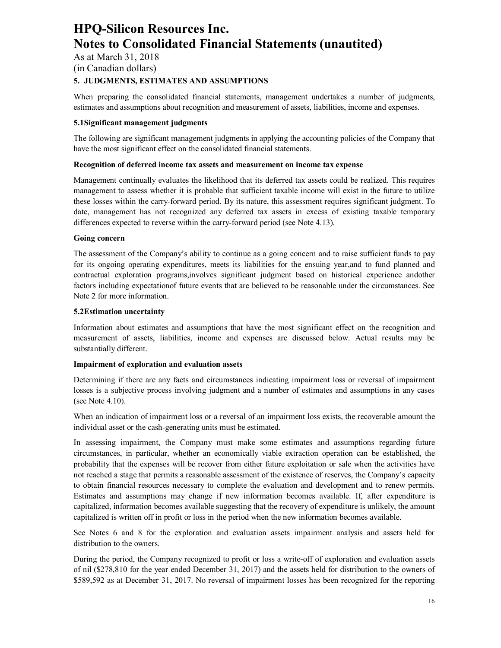As at March 31, 2018

(in Canadian dollars)

### **5. JUDGMENTS, ESTIMATES AND ASSUMPTIONS**

When preparing the consolidated financial statements, management undertakes a number of judgments, estimates and assumptions about recognition and measurement of assets, liabilities, income and expenses.

#### **5.1Significant management judgments**

The following are significant management judgments in applying the accounting policies of the Company that have the most significant effect on the consolidated financial statements.

#### **Recognition of deferred income tax assets and measurement on income tax expense**

Management continually evaluates the likelihood that its deferred tax assets could be realized. This requires management to assess whether it is probable that sufficient taxable income will exist in the future to utilize these losses within the carry-forward period. By its nature, this assessment requires significant judgment. To date, management has not recognized any deferred tax assets in excess of existing taxable temporary differences expected to reverse within the carry-forward period (see Note 4.13).

#### **Going concern**

The assessment of the Company's ability to continue as a going concern and to raise sufficient funds to pay for its ongoing operating expenditures, meets its liabilities for the ensuing year,and to fund planned and contractual exploration programs,involves significant judgment based on historical experience andother factors including expectationof future events that are believed to be reasonable under the circumstances. See Note 2 for more information.

#### **5.2Estimation uncertainty**

Information about estimates and assumptions that have the most significant effect on the recognition and measurement of assets, liabilities, income and expenses are discussed below. Actual results may be substantially different.

#### **Impairment of exploration and evaluation assets**

Determining if there are any facts and circumstances indicating impairment loss or reversal of impairment losses is a subjective process involving judgment and a number of estimates and assumptions in any cases (see Note 4.10).

When an indication of impairment loss or a reversal of an impairment loss exists, the recoverable amount the individual asset or the cash-generating units must be estimated.

In assessing impairment, the Company must make some estimates and assumptions regarding future circumstances, in particular, whether an economically viable extraction operation can be established, the probability that the expenses will be recover from either future exploitation or sale when the activities have not reached a stage that permits a reasonable assessment of the existence of reserves, the Company's capacity to obtain financial resources necessary to complete the evaluation and development and to renew permits. Estimates and assumptions may change if new information becomes available. If, after expenditure is capitalized, information becomes available suggesting that the recovery of expenditure is unlikely, the amount capitalized is written off in profit or loss in the period when the new information becomes available.

See Notes 6 and 8 for the exploration and evaluation assets impairment analysis and assets held for distribution to the owners.

During the period, the Company recognized to profit or loss a write-off of exploration and evaluation assets of nil (\$278,810 for the year ended December 31, 2017) and the assets held for distribution to the owners of \$589,592 as at December 31, 2017. No reversal of impairment losses has been recognized for the reporting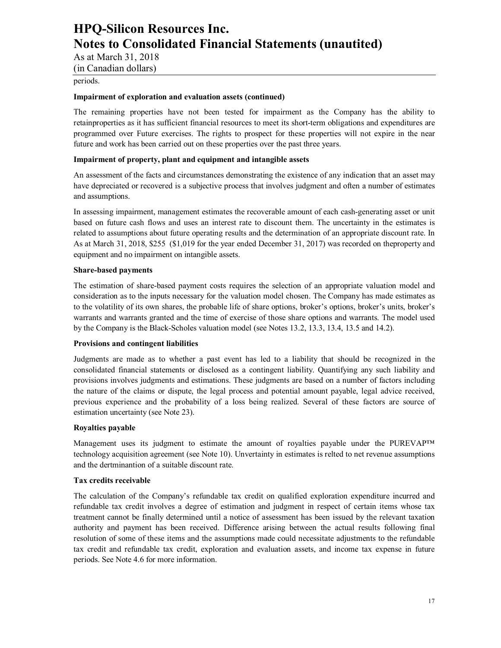As at March 31, 2018

(in Canadian dollars)

#### periods.

#### **Impairment of exploration and evaluation assets (continued)**

The remaining properties have not been tested for impairment as the Company has the ability to retainproperties as it has sufficient financial resources to meet its short-term obligations and expenditures are programmed over Future exercises. The rights to prospect for these properties will not expire in the near future and work has been carried out on these properties over the past three years.

#### **Impairment of property, plant and equipment and intangible assets**

An assessment of the facts and circumstances demonstrating the existence of any indication that an asset may have depreciated or recovered is a subjective process that involves judgment and often a number of estimates and assumptions.

In assessing impairment, management estimates the recoverable amount of each cash-generating asset or unit based on future cash flows and uses an interest rate to discount them. The uncertainty in the estimates is related to assumptions about future operating results and the determination of an appropriate discount rate. In As at March 31, 2018, \$255 (\$1,019 for the year ended December 31, 2017) was recorded on theproperty and equipment and no impairment on intangible assets.

#### **Share-based payments**

The estimation of share-based payment costs requires the selection of an appropriate valuation model and consideration as to the inputs necessary for the valuation model chosen. The Company has made estimates as to the volatility of its own shares, the probable life of share options, broker's options, broker's units, broker's warrants and warrants granted and the time of exercise of those share options and warrants. The model used by the Company is the Black-Scholes valuation model (see Notes 13.2, 13.3, 13.4, 13.5 and 14.2).

#### **Provisions and contingent liabilities**

Judgments are made as to whether a past event has led to a liability that should be recognized in the consolidated financial statements or disclosed as a contingent liability. Quantifying any such liability and provisions involves judgments and estimations. These judgments are based on a number of factors including the nature of the claims or dispute, the legal process and potential amount payable, legal advice received, previous experience and the probability of a loss being realized. Several of these factors are source of estimation uncertainty (see Note 23).

#### **Royalties payable**

Management uses its judgment to estimate the amount of royalties payable under the PUREVAP™ technology acquisition agreement (see Note 10). Unvertainty in estimates is relted to net revenue assumptions and the dertminantion of a suitable discount rate.

#### **Tax credits receivable**

The calculation of the Company's refundable tax credit on qualified exploration expenditure incurred and refundable tax credit involves a degree of estimation and judgment in respect of certain items whose tax treatment cannot be finally determined until a notice of assessment has been issued by the relevant taxation authority and payment has been received. Difference arising between the actual results following final resolution of some of these items and the assumptions made could necessitate adjustments to the refundable tax credit and refundable tax credit, exploration and evaluation assets, and income tax expense in future periods. See Note 4.6 for more information.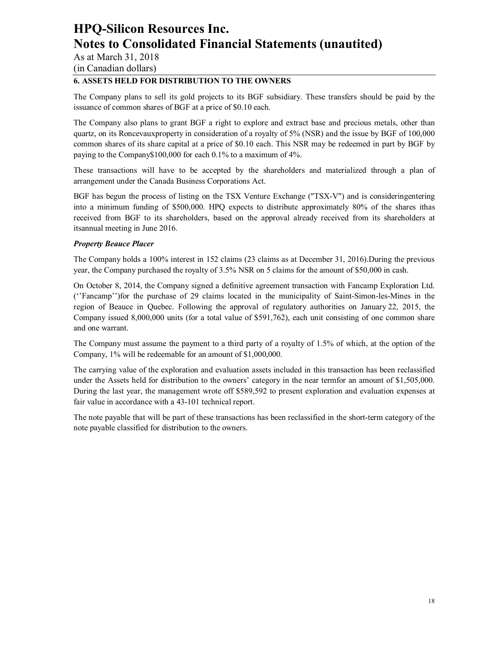As at March 31, 2018

(in Canadian dollars)

### **6. ASSETS HELD FOR DISTRIBUTION TO THE OWNERS**

The Company plans to sell its gold projects to its BGF subsidiary. These transfers should be paid by the issuance of common shares of BGF at a price of \$0.10 each.

The Company also plans to grant BGF a right to explore and extract base and precious metals, other than quartz, on its Roncevauxproperty in consideration of a royalty of 5% (NSR) and the issue by BGF of 100,000 common shares of its share capital at a price of \$0.10 each. This NSR may be redeemed in part by BGF by paying to the Company\$100,000 for each 0.1% to a maximum of 4%.

These transactions will have to be accepted by the shareholders and materialized through a plan of arrangement under the Canada Business Corporations Act.

BGF has begun the process of listing on the TSX Venture Exchange ("TSX-V") and is consideringentering into a minimum funding of \$500,000. HPQ expects to distribute approximately 80% of the shares ithas received from BGF to its shareholders, based on the approval already received from its shareholders at itsannual meeting in June 2016.

#### *Property Beauce Placer*

The Company holds a 100% interest in 152 claims (23 claims as at December 31, 2016).During the previous year, the Company purchased the royalty of 3.5% NSR on 5 claims for the amount of \$50,000 in cash.

On October 8, 2014, the Company signed a definitive agreement transaction with Fancamp Exploration Ltd. (''Fancamp'')for the purchase of 29 claims located in the municipality of Saint-Simon-les-Mines in the region of Beauce in Quebec. Following the approval of regulatory authorities on January 22, 2015, the Company issued 8,000,000 units (for a total value of \$591,762), each unit consisting of one common share and one warrant.

The Company must assume the payment to a third party of a royalty of 1.5% of which, at the option of the Company, 1% will be redeemable for an amount of \$1,000,000.

The carrying value of the exploration and evaluation assets included in this transaction has been reclassified under the Assets held for distribution to the owners' category in the near termfor an amount of \$1,505,000. During the last year, the management wrote off \$589,592 to present exploration and evaluation expenses at fair value in accordance with a 43-101 technical report.

The note payable that will be part of these transactions has been reclassified in the short-term category of the note payable classified for distribution to the owners.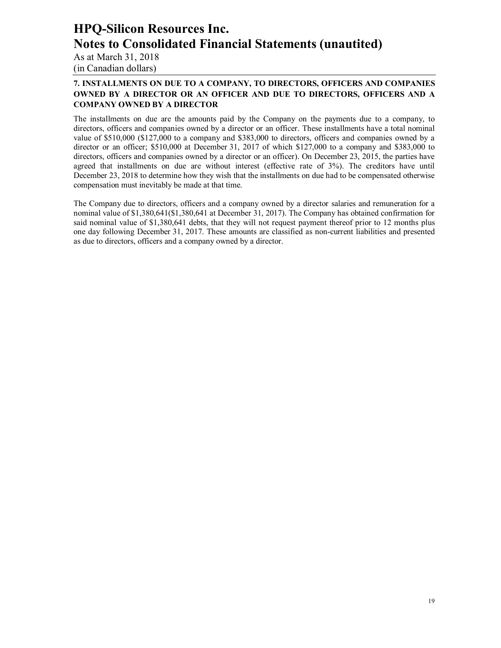As at March 31, 2018 (in Canadian dollars)

### **7. INSTALLMENTS ON DUE TO A COMPANY, TO DIRECTORS, OFFICERS AND COMPANIES OWNED BY A DIRECTOR OR AN OFFICER AND DUE TO DIRECTORS, OFFICERS AND A COMPANY OWNED BY A DIRECTOR**

The installments on due are the amounts paid by the Company on the payments due to a company, to directors, officers and companies owned by a director or an officer. These installments have a total nominal value of \$510,000 (\$127,000 to a company and \$383,000 to directors, officers and companies owned by a director or an officer; \$510,000 at December 31, 2017 of which \$127,000 to a company and \$383,000 to directors, officers and companies owned by a director or an officer). On December 23, 2015, the parties have agreed that installments on due are without interest (effective rate of 3%). The creditors have until December 23, 2018 to determine how they wish that the installments on due had to be compensated otherwise compensation must inevitably be made at that time.

The Company due to directors, officers and a company owned by a director salaries and remuneration for a nominal value of \$1,380,641(\$1,380,641 at December 31, 2017). The Company has obtained confirmation for said nominal value of \$1,380,641 debts, that they will not request payment thereof prior to 12 months plus one day following December 31, 2017. These amounts are classified as non-current liabilities and presented as due to directors, officers and a company owned by a director.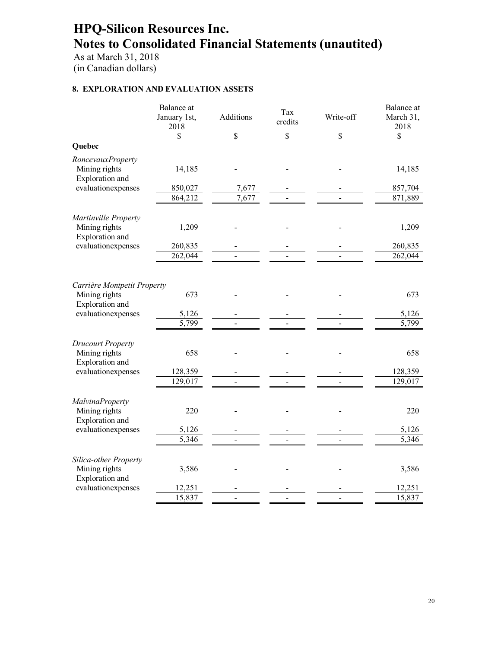As at March 31, 2018 (in Canadian dollars)

### **8. EXPLORATION AND EVALUATION ASSETS**

|                                                                                       | Balance at<br>January 1st,<br>2018    | Additions      | Tax<br>credits          | Write-off       | Balance at<br>March 31,<br>2018       |
|---------------------------------------------------------------------------------------|---------------------------------------|----------------|-------------------------|-----------------|---------------------------------------|
|                                                                                       | \$                                    | \$             | $\overline{\mathbb{S}}$ | $\overline{\$}$ | \$                                    |
| Quebec                                                                                |                                       |                |                         |                 |                                       |
| RoncevauxProperty<br>Mining rights<br><b>Exploration</b> and                          | 14,185                                |                |                         |                 | 14,185                                |
| evaluationexpenses                                                                    | 850,027                               | 7,677          |                         |                 | 857,704                               |
|                                                                                       | 864,212                               | 7,677          |                         |                 | 871,889                               |
| Martinville Property<br>Mining rights<br>Exploration and                              | 1,209                                 |                |                         |                 | 1,209                                 |
| evaluationexpenses                                                                    | 260,835                               |                |                         |                 | 260,835                               |
|                                                                                       | 262,044                               |                |                         |                 | 262,044                               |
| Carrière Montpetit Property<br>Mining rights<br>Exploration and<br>evaluationexpenses | 673<br>5,126<br>$\overline{5,799}$    |                |                         |                 | 673<br>5,126<br>5,799                 |
| <b>Drucourt Property</b><br>Mining rights<br>Exploration and<br>evaluationexpenses    | 658<br>128,359<br>129,017             | $\overline{a}$ |                         |                 | 658<br>128,359<br>129,017             |
| <b>MalvinaProperty</b><br>Mining rights<br>Exploration and                            | 220                                   |                |                         |                 | 220                                   |
| evaluationexpenses                                                                    | 5,126                                 |                |                         |                 | 5,126                                 |
| Silica-other Property<br>Mining rights<br>Exploration and<br>evaluationexpenses       | $\overline{5,}346$<br>3,586<br>12,251 |                |                         |                 | $\overline{5,}346$<br>3,586<br>12,251 |
|                                                                                       | 15,837                                |                |                         |                 | 15,837                                |
|                                                                                       |                                       |                |                         |                 |                                       |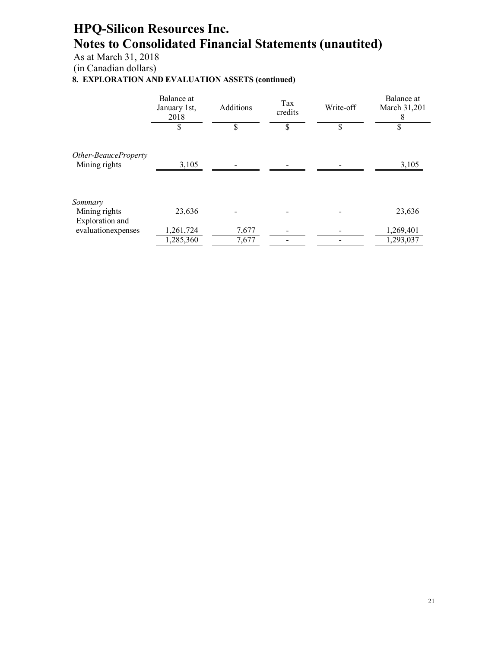As at March 31, 2018

(in Canadian dollars)

### **8. EXPLORATION AND EVALUATION ASSETS (continued)**

|                                             | Balance at<br>January 1st,<br>2018 | Additions      | Tax<br>credits | Write-off | Balance at<br>March 31,201<br>8 |
|---------------------------------------------|------------------------------------|----------------|----------------|-----------|---------------------------------|
|                                             | \$                                 | \$             | \$             | \$        | \$                              |
| Other-BeauceProperty<br>Mining rights       | 3,105                              |                |                |           | 3,105                           |
| Sommary<br>Mining rights<br>Exploration and | 23,636                             |                |                |           | 23,636                          |
| evaluationexpenses                          | 1,261,724<br>1,285,360             | 7,677<br>7,677 |                |           | 1,269,401<br>1,293,037          |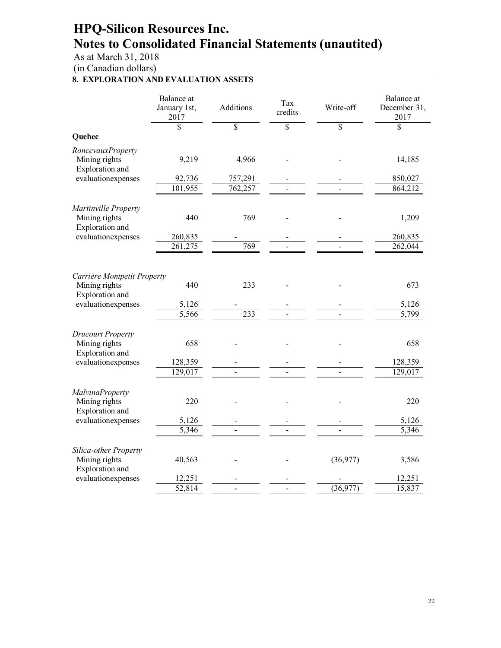As at March 31, 2018

(in Canadian dollars)

### **8. EXPLORATION AND EVALUATION ASSETS**

|                                                                 | Balance at<br>January 1st,<br>2017 | Additions               | Tax<br>credits          | Write-off               | Balance at<br>December 31,<br>2017 |
|-----------------------------------------------------------------|------------------------------------|-------------------------|-------------------------|-------------------------|------------------------------------|
|                                                                 | \$                                 | $\overline{\mathbb{S}}$ | $\overline{\mathbb{S}}$ | $\overline{\mathbb{S}}$ | $\overline{\mathbb{S}}$            |
| Quebec                                                          |                                    |                         |                         |                         |                                    |
| RoncevauxProperty<br>Mining rights<br>Exploration and           | 9,219                              | 4,966                   |                         |                         | 14,185                             |
| evaluationexpenses                                              | 92,736                             | 757,291                 |                         |                         | 850,027                            |
|                                                                 | 101,955                            | 762,257                 |                         |                         | 864,212                            |
| Martinville Property<br>Mining rights<br>Exploration and        | 440                                | 769                     |                         |                         | 1,209                              |
| evaluationexpenses                                              | 260,835                            |                         |                         |                         | 260,835                            |
|                                                                 | 261,275                            | 769                     |                         |                         | 262,044                            |
| Carrière Montpetit Property<br>Mining rights<br>Exploration and | 440                                | 233                     |                         |                         | 673                                |
| evaluationexpenses                                              | 5,126                              |                         |                         |                         | 5,126                              |
|                                                                 | 5,566                              | 233                     |                         |                         | 5,799                              |
| <b>Drucourt Property</b><br>Mining rights<br>Exploration and    | 658                                |                         |                         |                         | 658                                |
| evaluationexpenses                                              | 128,359                            |                         |                         |                         | 128,359                            |
|                                                                 | 129,017                            |                         |                         |                         | $\overline{1}29,017$               |
| <b>MalvinaProperty</b><br>Mining rights<br>Exploration and      | 220                                |                         |                         |                         | 220                                |
| evaluationexpenses                                              | 5,126                              |                         |                         |                         | 5,126                              |
|                                                                 | 5,346                              |                         |                         |                         | 5,346                              |
| Silica-other Property<br>Mining rights<br>Exploration and       | 40,563                             |                         |                         | (36,977)                | 3,586                              |
| evaluationexpenses                                              | 12,251                             |                         |                         |                         | 12,251                             |
|                                                                 | $\overline{52,81}4$                |                         |                         | (36, 977)               | 15,837                             |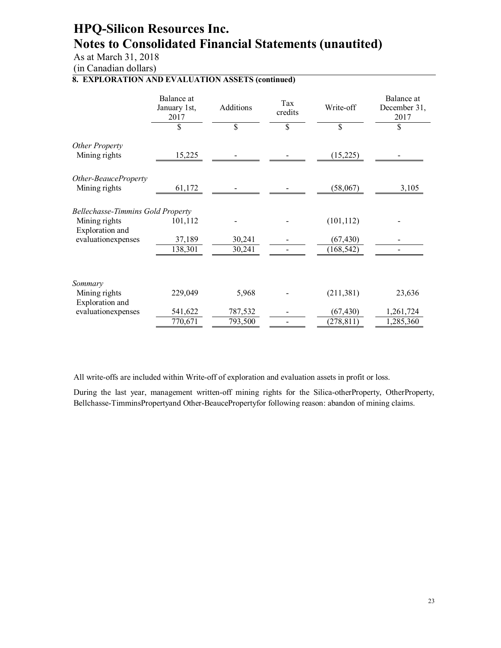As at March 31, 2018

(in Canadian dollars)

### **8. EXPLORATION AND EVALUATION ASSETS (continued)**

|                                                                              | Balance at<br>January 1st,<br>2017 | Additions          | Tax<br>credits | Write-off               | Balance at<br>December 31,<br>2017 |
|------------------------------------------------------------------------------|------------------------------------|--------------------|----------------|-------------------------|------------------------------------|
|                                                                              | \$                                 | \$                 | \$             | \$                      | \$                                 |
| <b>Other Property</b><br>Mining rights                                       | 15,225                             |                    |                | (15,225)                |                                    |
| Other-BeauceProperty<br>Mining rights                                        | 61,172                             |                    |                | (58,067)                | 3,105                              |
| <b>Bellechasse-Timmins Gold Property</b><br>Mining rights<br>Exploration and | 101,112                            |                    |                | (101, 112)              |                                    |
| evaluationexpenses                                                           | 37,189<br>138,301                  | 30,241<br>30,241   |                | (67, 430)<br>(168, 542) |                                    |
| Sommary<br>Mining rights                                                     | 229,049                            | 5,968              |                | (211, 381)              | 23,636                             |
| Exploration and<br>evaluationexpenses                                        | 541,622<br>770,671                 | 787,532<br>793,500 |                | (67, 430)<br>(278, 811) | 1,261,724<br>1,285,360             |

All write-offs are included within Write-off of exploration and evaluation assets in profit or loss.

During the last year, management written-off mining rights for the Silica-otherProperty, OtherProperty, Bellchasse-TimminsPropertyand Other-BeaucePropertyfor following reason: abandon of mining claims.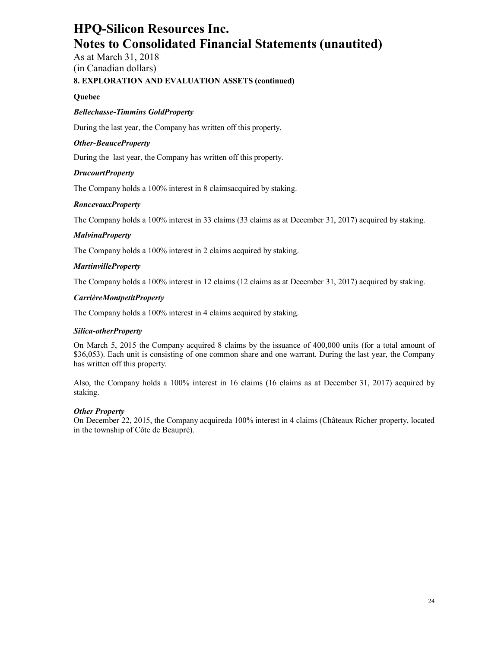As at March 31, 2018 (in Canadian dollars)

### **8. EXPLORATION AND EVALUATION ASSETS (continued)**

#### **Quebec**

#### *Bellechasse-Timmins GoldProperty*

During the last year, the Company has written off this property.

#### *Other-BeauceProperty*

During the last year, the Company has written off this property.

#### *DrucourtProperty*

The Company holds a 100% interest in 8 claimsacquired by staking.

#### *RoncevauxProperty*

The Company holds a 100% interest in 33 claims (33 claims as at December 31, 2017) acquired by staking.

#### *MalvinaProperty*

The Company holds a 100% interest in 2 claims acquired by staking.

#### *MartinvilleProperty*

The Company holds a 100% interest in 12 claims (12 claims as at December 31, 2017) acquired by staking.

#### *CarrièreMontpetitProperty*

The Company holds a 100% interest in 4 claims acquired by staking.

#### *Silica-otherProperty*

On March 5, 2015 the Company acquired 8 claims by the issuance of 400,000 units (for a total amount of \$36,053). Each unit is consisting of one common share and one warrant. During the last year, the Company has written off this property.

Also, the Company holds a 100% interest in 16 claims (16 claims as at December 31, 2017) acquired by staking.

#### *Other Property*

On December 22, 2015, the Company acquireda 100% interest in 4 claims (Châteaux Richer property, located in the township of Côte de Beaupré).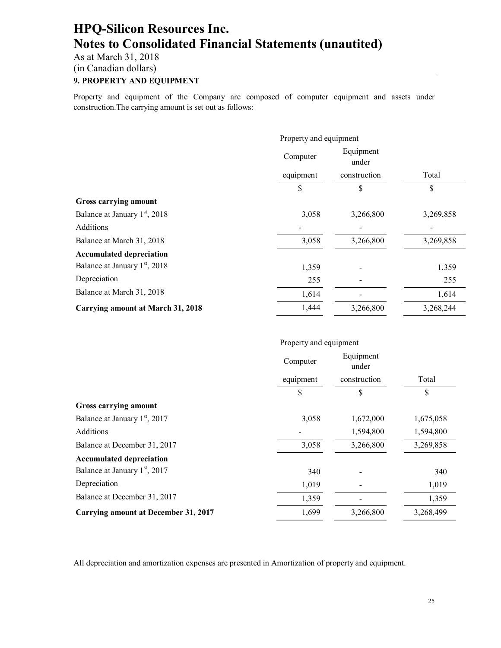As at March 31, 2018

(in Canadian dollars)

### **9. PROPERTY AND EQUIPMENT**

Property and equipment of the Company are composed of computer equipment and assets under construction.The carrying amount is set out as follows:

|                                           | Property and equipment         |              |           |
|-------------------------------------------|--------------------------------|--------------|-----------|
|                                           | Equipment<br>Computer<br>under |              |           |
|                                           | equipment                      | construction | Total     |
|                                           | \$                             | \$           | \$        |
| Gross carrying amount                     |                                |              |           |
| Balance at January 1 <sup>st</sup> , 2018 | 3,058                          | 3,266,800    | 3,269,858 |
| Additions                                 |                                |              |           |
| Balance at March 31, 2018                 | 3,058                          | 3,266,800    | 3,269,858 |
| <b>Accumulated depreciation</b>           |                                |              |           |
| Balance at January 1 <sup>st</sup> , 2018 | 1,359                          |              | 1,359     |
| Depreciation                              | 255                            |              | 255       |
| Balance at March 31, 2018                 | 1,614                          |              | 1,614     |
| <b>Carrying amount at March 31, 2018</b>  | 1,444                          | 3,266,800    | 3,268,244 |

#### Property and equipment

|                                             | Computer  | Equipment<br>under |           |
|---------------------------------------------|-----------|--------------------|-----------|
|                                             | equipment | construction       | Total     |
|                                             | \$        | \$                 | \$        |
| Gross carrying amount                       |           |                    |           |
| Balance at January 1 <sup>st</sup> , 2017   | 3,058     | 1,672,000          | 1,675,058 |
| Additions                                   |           | 1,594,800          | 1,594,800 |
| Balance at December 31, 2017                | 3,058     | 3,266,800          | 3,269,858 |
| <b>Accumulated depreciation</b>             |           |                    |           |
| Balance at January 1 <sup>st</sup> , 2017   | 340       |                    | 340       |
| Depreciation                                | 1,019     |                    | 1,019     |
| Balance at December 31, 2017                | 1,359     |                    | 1,359     |
| <b>Carrying amount at December 31, 2017</b> | 1,699     | 3,266,800          | 3,268,499 |

All depreciation and amortization expenses are presented in Amortization of property and equipment.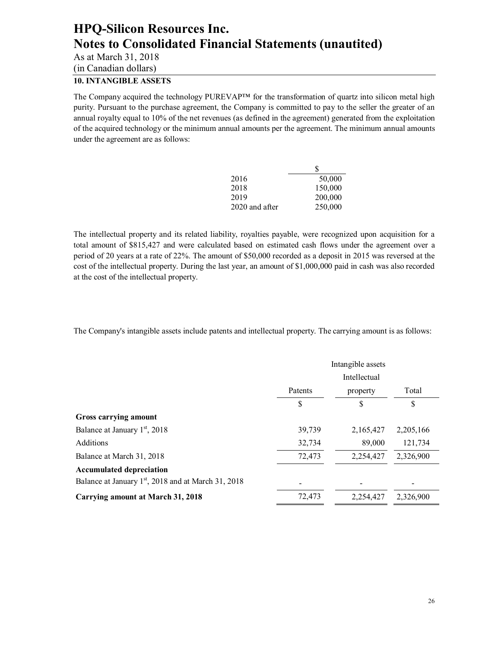As at March 31, 2018

(in Canadian dollars)

### **10. INTANGIBLE ASSETS**

The Company acquired the technology PUREVAP™ for the transformation of quartz into silicon metal high purity. Pursuant to the purchase agreement, the Company is committed to pay to the seller the greater of an annual royalty equal to 10% of the net revenues (as defined in the agreement) generated from the exploitation of the acquired technology or the minimum annual amounts per the agreement. The minimum annual amounts under the agreement are as follows:

|                | S       |
|----------------|---------|
| 2016           | 50,000  |
| 2018           | 150,000 |
| 2019           | 200,000 |
| 2020 and after | 250,000 |

The intellectual property and its related liability, royalties payable, were recognized upon acquisition for a total amount of \$815,427 and were calculated based on estimated cash flows under the agreement over a period of 20 years at a rate of 22%. The amount of \$50,000 recorded as a deposit in 2015 was reversed at the cost of the intellectual property. During the last year, an amount of \$1,000,000 paid in cash was also recorded at the cost of the intellectual property.

The Company's intangible assets include patents and intellectual property. The carrying amount is as follows:

|                                                       | Intangible assets<br>Intellectual |           |             |
|-------------------------------------------------------|-----------------------------------|-----------|-------------|
|                                                       | Patents                           | property  | Total       |
|                                                       | \$                                | \$        | \$          |
| Gross carrying amount                                 |                                   |           |             |
| Balance at January 1 <sup>st</sup> , 2018             | 39,739                            | 2,165,427 | 2, 205, 166 |
| <b>Additions</b>                                      | 32,734                            | 89,000    | 121,734     |
| Balance at March 31, 2018                             | 72,473                            | 2,254,427 | 2,326,900   |
| <b>Accumulated depreciation</b>                       |                                   |           |             |
| Balance at January $1st$ , 2018 and at March 31, 2018 |                                   |           |             |
| Carrying amount at March 31, 2018                     | 72,473                            | 2,254,427 | 2,326,900   |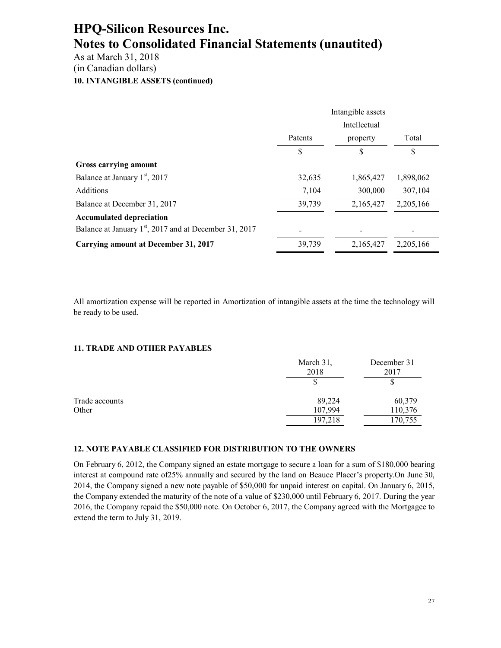As at March 31, 2018

(in Canadian dollars)

### **10. INTANGIBLE ASSETS (continued)**

|                                                                    | Intangible assets<br>Intellectual |           |           |
|--------------------------------------------------------------------|-----------------------------------|-----------|-----------|
|                                                                    | Patents                           | property  | Total     |
|                                                                    | S                                 | \$        | \$        |
| Gross carrying amount                                              |                                   |           |           |
| Balance at January 1 <sup>st</sup> , 2017                          | 32,635                            | 1,865,427 | 1,898,062 |
| <b>Additions</b>                                                   | 7,104                             | 300,000   | 307,104   |
| Balance at December 31, 2017                                       | 39,739                            | 2,165,427 | 2,205,166 |
| <b>Accumulated depreciation</b>                                    |                                   |           |           |
| Balance at January 1 <sup>st</sup> , 2017 and at December 31, 2017 |                                   |           |           |
| <b>Carrying amount at December 31, 2017</b>                        | 39,739                            | 2,165,427 | 2,205,166 |

All amortization expense will be reported in Amortization of intangible assets at the time the technology will be ready to be used.

#### **11. TRADE AND OTHER PAYABLES**

|                | March 31,<br>2018 | December 31<br>2017 |
|----------------|-------------------|---------------------|
|                |                   | P                   |
| Trade accounts | 89,224            | 60,379              |
| Other          | 107,994           | 110,376             |
|                | 197,218           | 170,755             |

#### **12. NOTE PAYABLE CLASSIFIED FOR DISTRIBUTION TO THE OWNERS**

On February 6, 2012, the Company signed an estate mortgage to secure a loan for a sum of \$180,000 bearing interest at compound rate of25% annually and secured by the land on Beauce Placer's property.On June 30, 2014, the Company signed a new note payable of \$50,000 for unpaid interest on capital. On January 6, 2015, the Company extended the maturity of the note of a value of \$230,000 until February 6, 2017. During the year 2016, the Company repaid the \$50,000 note. On October 6, 2017, the Company agreed with the Mortgagee to extend the term to July 31, 2019.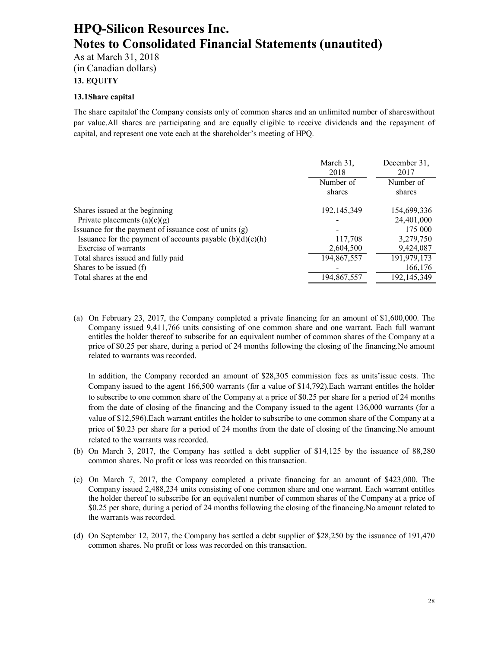As at March 31, 2018

(in Canadian dollars)

### **13. EQUITY**

#### **13.1Share capital**

The share capitalof the Company consists only of common shares and an unlimited number of shareswithout par value.All shares are participating and are equally eligible to receive dividends and the repayment of capital, and represent one vote each at the shareholder's meeting of HPQ.

|                                                             | March 31.<br>2018   | December 31.<br>2017 |
|-------------------------------------------------------------|---------------------|----------------------|
|                                                             | Number of<br>shares | Number of<br>shares  |
| Shares issued at the beginning                              | 192, 145, 349       | 154,699,336          |
| Private placements $(a)(c)(g)$                              |                     | 24,401,000           |
| Issuance for the payment of issuance cost of units (g)      |                     | 175 000              |
| Issuance for the payment of accounts payable $(b)(d)(e)(h)$ | 117,708             | 3,279,750            |
| Exercise of warrants                                        | 2,604,500           | 9,424,087            |
| Total shares issued and fully paid                          | 194,867,557         | 191,979,173          |
| Shares to be issued (f)                                     |                     | 166,176              |
| Total shares at the end                                     | 194,867,557         | 192, 145, 349        |

(a) On February 23, 2017, the Company completed a private financing for an amount of \$1,600,000. The Company issued 9,411,766 units consisting of one common share and one warrant. Each full warrant entitles the holder thereof to subscribe for an equivalent number of common shares of the Company at a price of \$0.25 per share, during a period of 24 months following the closing of the financing.No amount related to warrants was recorded.

In addition, the Company recorded an amount of \$28,305 commission fees as units'issue costs. The Company issued to the agent 166,500 warrants (for a value of \$14,792).Each warrant entitles the holder to subscribe to one common share of the Company at a price of \$0.25 per share for a period of 24 months from the date of closing of the financing and the Company issued to the agent 136,000 warrants (for a value of \$12,596).Each warrant entitles the holder to subscribe to one common share of the Company at a price of \$0.23 per share for a period of 24 months from the date of closing of the financing.No amount related to the warrants was recorded.

- (b) On March 3, 2017, the Company has settled a debt supplier of \$14,125 by the issuance of 88,280 common shares. No profit or loss was recorded on this transaction.
- (c) On March 7, 2017, the Company completed a private financing for an amount of \$423,000. The Company issued 2,488,234 units consisting of one common share and one warrant. Each warrant entitles the holder thereof to subscribe for an equivalent number of common shares of the Company at a price of \$0.25 per share, during a period of 24 months following the closing of the financing.No amount related to the warrants was recorded.
- (d) On September 12, 2017, the Company has settled a debt supplier of \$28,250 by the issuance of 191,470 common shares. No profit or loss was recorded on this transaction.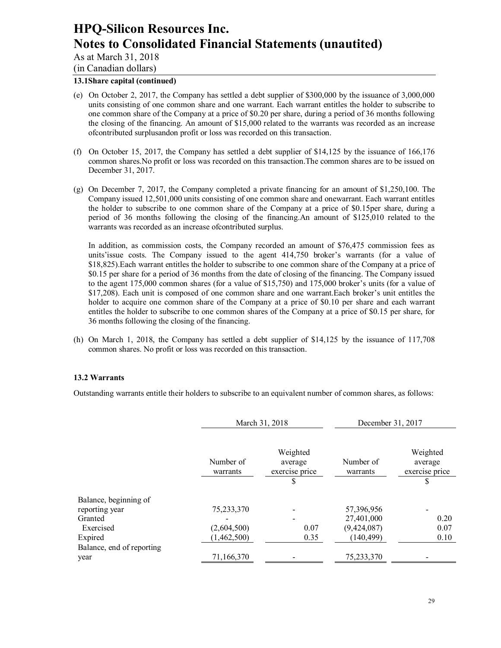As at March 31, 2018

(in Canadian dollars)

### **13.1Share capital (continued)**

- (e) On October 2, 2017, the Company has settled a debt supplier of \$300,000 by the issuance of 3,000,000 units consisting of one common share and one warrant. Each warrant entitles the holder to subscribe to one common share of the Company at a price of \$0.20 per share, during a period of 36 months following the closing of the financing. An amount of \$15,000 related to the warrants was recorded as an increase ofcontributed surplusandon profit or loss was recorded on this transaction.
- (f) On October 15, 2017, the Company has settled a debt supplier of \$14,125 by the issuance of 166,176 common shares.No profit or loss was recorded on this transaction.The common shares are to be issued on December 31, 2017.
- (g) On December 7, 2017, the Company completed a private financing for an amount of \$1,250,100. The Company issued 12,501,000 units consisting of one common share and onewarrant. Each warrant entitles the holder to subscribe to one common share of the Company at a price of \$0.15per share, during a period of 36 months following the closing of the financing.An amount of \$125,010 related to the warrants was recorded as an increase ofcontributed surplus.

In addition, as commission costs, the Company recorded an amount of \$76,475 commission fees as units'issue costs. The Company issued to the agent 414,750 broker's warrants (for a value of \$18,825).Each warrant entitles the holder to subscribe to one common share of the Company at a price of \$0.15 per share for a period of 36 months from the date of closing of the financing. The Company issued to the agent 175,000 common shares (for a value of \$15,750) and 175,000 broker's units (for a value of \$17,208). Each unit is composed of one common share and one warrant.Each broker's unit entitles the holder to acquire one common share of the Company at a price of \$0.10 per share and each warrant entitles the holder to subscribe to one common shares of the Company at a price of \$0.15 per share, for 36 months following the closing of the financing.

(h) On March 1, 2018, the Company has settled a debt supplier of \$14,125 by the issuance of 117,708 common shares. No profit or loss was recorded on this transaction.

#### **13.2 Warrants**

Outstanding warrants entitle their holders to subscribe to an equivalent number of common shares, as follows:

|                           |                       | March 31, 2018                              |                       | December 31, 2017                           |
|---------------------------|-----------------------|---------------------------------------------|-----------------------|---------------------------------------------|
|                           | Number of<br>warrants | Weighted<br>average<br>exercise price<br>\$ | Number of<br>warrants | Weighted<br>average<br>exercise price<br>\$ |
| Balance, beginning of     |                       |                                             |                       |                                             |
| reporting year            | 75,233,370            |                                             | 57,396,956            |                                             |
| Granted                   |                       |                                             | 27,401,000            | 0.20                                        |
| Exercised                 | (2,604,500)           | 0.07                                        | (9,424,087)           | 0.07                                        |
| Expired                   | (1,462,500)           | 0.35                                        | (140, 499)            | 0.10                                        |
| Balance, end of reporting |                       |                                             |                       |                                             |
| year                      | 71,166,370            |                                             | 75,233,370            |                                             |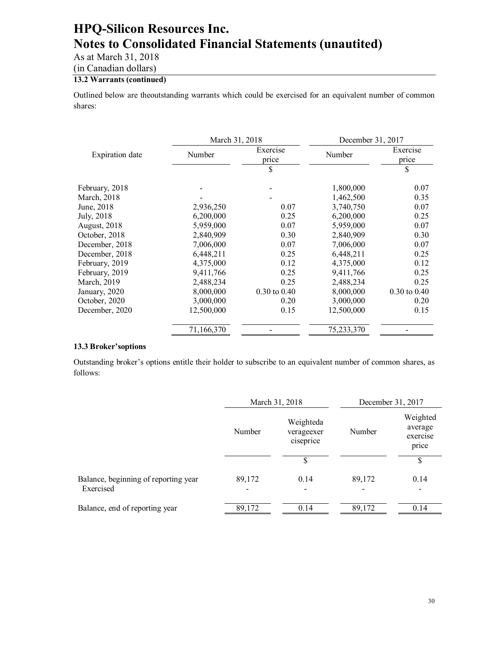As at March 31, 2018

(in Canadian dollars)

### **13.2 Warrants (continued)**

Outlined below are theoutstanding warrants which could be exercised for an equivalent number of common shares:

|                        | March 31, 2018 |                             | December 31, 2017       |                   |  |
|------------------------|----------------|-----------------------------|-------------------------|-------------------|--|
| <b>Expiration</b> date | Number         | Exercise<br>Number<br>price |                         | Exercise<br>price |  |
|                        |                | \$                          |                         | \$                |  |
| February, 2018         |                |                             | 1,800,000               | 0.07              |  |
| March, 2018            |                |                             | 1,462,500               | 0.35              |  |
| June, 2018             | 2,936,250      | 0.07                        | 3,740,750               | 0.07              |  |
| July, 2018             | 6,200,000      | 0.25                        | 6,200,000               | 0.25              |  |
| <b>August</b> , 2018   | 5,959,000      | 0.07                        | 5,959,000               | 0.07              |  |
| October, 2018          | 2,840,909      | 0.30                        | 2,840,909               | 0.30              |  |
| December, 2018         | 7,006,000      | 0.07                        | 7,006,000               | 0.07              |  |
| December, 2018         | 6,448,211      | 0.25                        | 6,448,211               | 0.25              |  |
| February, 2019         | 4,375,000      | 0.12                        | 4,375,000               | 0.12              |  |
| February, 2019         | 9,411,766      | 0.25                        | 9,411,766               | 0.25              |  |
| March, 2019            | 2,488,234      | 0.25                        | 2,488,234               | 0.25              |  |
| January, 2020          | 8,000,000      | $0.30 \text{ to } 0.40$     | 8,000,000               | $0.30$ to $0.40$  |  |
| October, 2020          | 3,000,000      | 0.20                        | 3,000,000               | 0.20              |  |
| December, 2020         | 12,500,000     | 0.15                        | 12,500,000              | 0.15              |  |
|                        | 71,166,370     |                             | $75,233,3\overline{70}$ |                   |  |

#### **13.3 Broker'soptions**

Outstanding broker's options entitle their holder to subscribe to an equivalent number of common shares, as follows:

|                                                   | March 31, 2018                                 |      | December 31, 2017 |                                          |
|---------------------------------------------------|------------------------------------------------|------|-------------------|------------------------------------------|
|                                                   | Weighteda<br>Number<br>verageexer<br>ciseprice |      | Number            | Weighted<br>average<br>exercise<br>price |
|                                                   |                                                | \$   |                   | \$                                       |
| Balance, beginning of reporting year<br>Exercised | 89,172                                         | 0.14 | 89,172            | 0.14                                     |
| Balance, end of reporting year                    | 89,172                                         | 0.14 | 89,172            | 0.14                                     |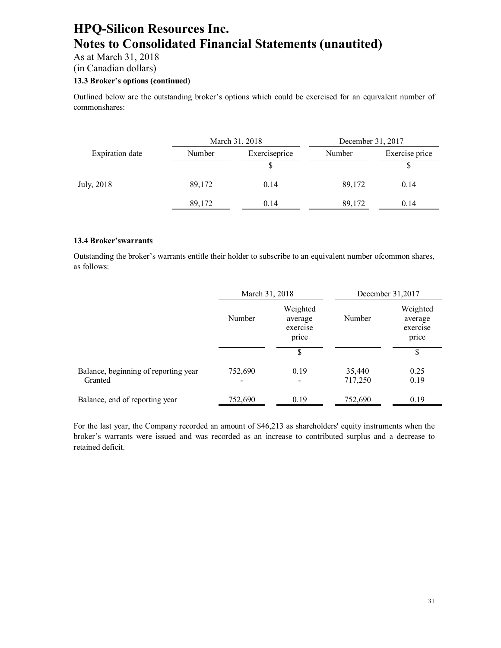As at March 31, 2018

(in Canadian dollars)

#### **13.3 Broker's options (continued)**

Outlined below are the outstanding broker's options which could be exercised for an equivalent number of commonshares:

|                        | March 31, 2018 |               | December 31, 2017 |                |
|------------------------|----------------|---------------|-------------------|----------------|
| <b>Expiration</b> date | Number         | Exerciseprice | Number            | Exercise price |
|                        |                |               |                   |                |
| July, 2018             | 89,172         | 0.14          | 89,172            | 0.14           |
|                        | 89,172         | 0.14          | 89,172            | 0.14           |

#### **13.4 Broker'swarrants**

Outstanding the broker's warrants entitle their holder to subscribe to an equivalent number ofcommon shares, as follows:

|                                                 | March 31, 2018                                     |           |                   | December 31,2017                         |
|-------------------------------------------------|----------------------------------------------------|-----------|-------------------|------------------------------------------|
|                                                 | Weighted<br>Number<br>average<br>exercise<br>price |           | Number            | Weighted<br>average<br>exercise<br>price |
|                                                 |                                                    | \$        |                   | \$                                       |
| Balance, beginning of reporting year<br>Granted | 752,690                                            | 0.19<br>۰ | 35,440<br>717,250 | 0.25<br>0.19                             |
| Balance, end of reporting year                  | 752,690                                            | 0.19      | 752,690           | 0.19                                     |

For the last year, the Company recorded an amount of \$46,213 as shareholders' equity instruments when the broker's warrants were issued and was recorded as an increase to contributed surplus and a decrease to retained deficit.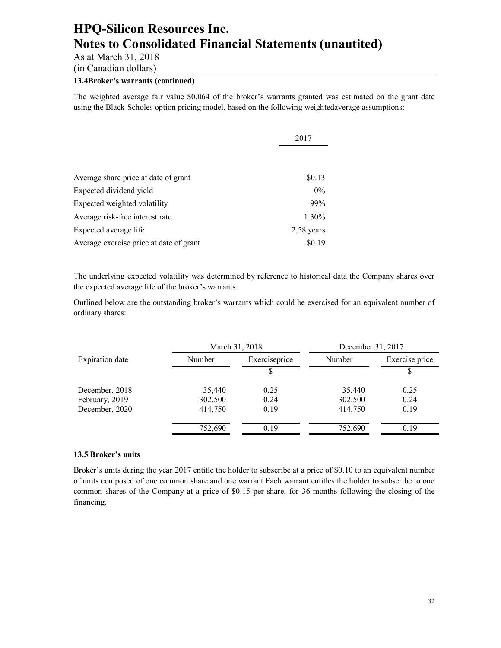As at March 31, 2018

(in Canadian dollars)

### **13.4Broker's warrants (continued)**

The weighted average fair value \$0.064 of the broker's warrants granted was estimated on the grant date using the Black-Scholes option pricing model, based on the following weightedaverage assumptions:

|                                         | 2017       |
|-----------------------------------------|------------|
|                                         |            |
| Average share price at date of grant    | \$0.13     |
| Expected dividend yield                 | $0\%$      |
| Expected weighted volatility            | 99%        |
| Average risk-free interest rate         | 1.30%      |
| Expected average life                   | 2.58 years |
| Average exercise price at date of grant | \$0.19     |

The underlying expected volatility was determined by reference to historical data the Company shares over the expected average life of the broker's warrants.

Outlined below are the outstanding broker's warrants which could be exercised for an equivalent number of ordinary shares:

|                        |         | March 31, 2018 |         | December 31, 2017 |
|------------------------|---------|----------------|---------|-------------------|
| <b>Expiration</b> date | Number  | Exerciseprice  |         | Exercise price    |
|                        |         |                |         |                   |
| December, 2018         | 35,440  | 0.25           | 35,440  | 0.25              |
| February, 2019         | 302,500 | 0.24           | 302,500 | 0.24              |
| December, 2020         | 414,750 | 0.19           | 414,750 | 0.19              |
|                        | 752,690 | 0.19           | 752,690 | 0.19              |

#### **13.5 Broker's units**

Broker's units during the year 2017 entitle the holder to subscribe at a price of \$0.10 to an equivalent number of units composed of one common share and one warrant.Each warrant entitles the holder to subscribe to one common shares of the Company at a price of \$0.15 per share, for 36 months following the closing of the financing.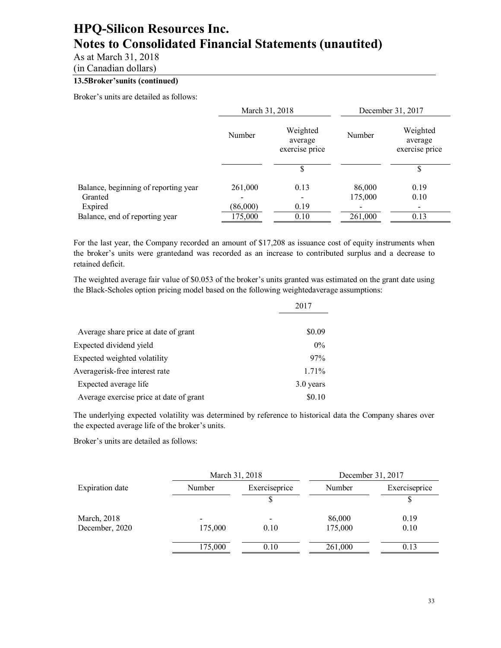As at March 31, 2018

(in Canadian dollars)

### **13.5Broker'sunits (continued)**

Broker's units are detailed as follows:

|                                      | December 31, 2017                     |
|--------------------------------------|---------------------------------------|
| Weighted<br>Number<br>exercise price | Weighted<br>average<br>exercise price |
|                                      | S                                     |
| 86,000<br>175,000                    | 0.19<br>0.10                          |
|                                      | $\overline{\phantom{a}}$              |
| 261,000                              | 0.13                                  |
|                                      |                                       |

For the last year, the Company recorded an amount of \$17,208 as issuance cost of equity instruments when the broker's units were grantedand was recorded as an increase to contributed surplus and a decrease to retained deficit.

The weighted average fair value of \$0.053 of the broker's units granted was estimated on the grant date using the Black-Scholes option pricing model based on the following weightedaverage assumptions:

|                                         | 2017      |  |
|-----------------------------------------|-----------|--|
| Average share price at date of grant    | \$0.09    |  |
| Expected dividend yield                 | $0\%$     |  |
| Expected weighted volatility            | 97%       |  |
| Averagerisk-free interest rate          | 1.71%     |  |
| Expected average life                   | 3.0 years |  |
| Average exercise price at date of grant | \$0.10    |  |

The underlying expected volatility was determined by reference to historical data the Company shares over the expected average life of the broker's units.

Broker's units are detailed as follows:

|                        | March 31, 2018 |               |         | December 31, 2017 |
|------------------------|----------------|---------------|---------|-------------------|
| <b>Expiration</b> date | Number         | Exerciseprice | Number  | Exerciseprice     |
|                        |                |               |         |                   |
| March, 2018            |                |               | 86,000  | 0.19              |
| December, 2020         | 175,000        | 0.10          | 175,000 | 0.10              |
|                        | 175,000        | 0.10          | 261,000 | 0.13              |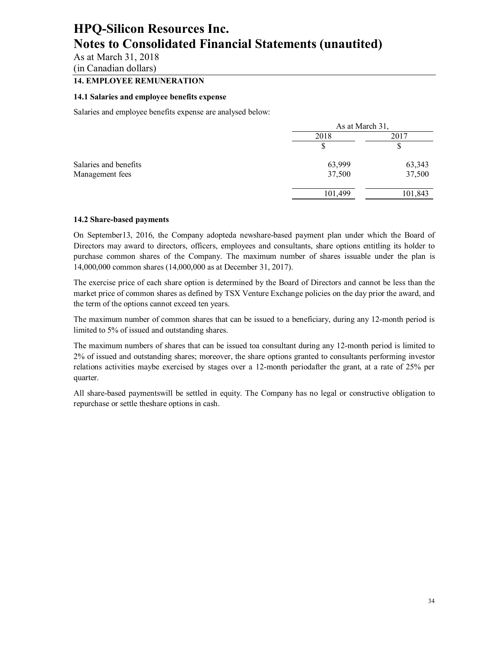As at March 31, 2018

(in Canadian dollars)

### **14. EMPLOYEE REMUNERATION**

#### **14.1 Salaries and employee benefits expense**

Salaries and employee benefits expense are analysed below:

|                       | As at March 31, |         |  |
|-----------------------|-----------------|---------|--|
|                       | 2018            | 2017    |  |
|                       |                 | Φ       |  |
| Salaries and benefits | 63,999          | 63,343  |  |
| Management fees       | 37,500          | 37,500  |  |
|                       | 101,499         | 101,843 |  |
|                       |                 |         |  |

#### **14.2 Share-based payments**

On September13, 2016, the Company adopteda newshare-based payment plan under which the Board of Directors may award to directors, officers, employees and consultants, share options entitling its holder to purchase common shares of the Company. The maximum number of shares issuable under the plan is 14,000,000 common shares (14,000,000 as at December 31, 2017).

The exercise price of each share option is determined by the Board of Directors and cannot be less than the market price of common shares as defined by TSX Venture Exchange policies on the day prior the award, and the term of the options cannot exceed ten years.

The maximum number of common shares that can be issued to a beneficiary, during any 12-month period is limited to 5% of issued and outstanding shares.

The maximum numbers of shares that can be issued toa consultant during any 12-month period is limited to 2% of issued and outstanding shares; moreover, the share options granted to consultants performing investor relations activities maybe exercised by stages over a 12-month periodafter the grant, at a rate of 25% per quarter.

All share-based paymentswill be settled in equity. The Company has no legal or constructive obligation to repurchase or settle theshare options in cash.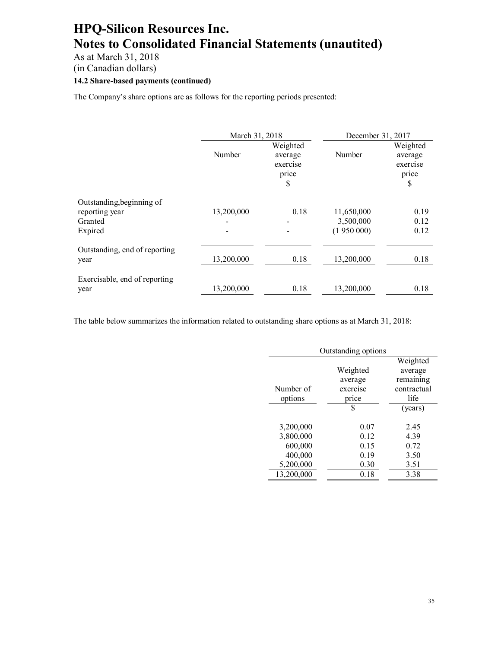As at March 31, 2018

(in Canadian dollars)

### **14.2 Share-based payments (continued)**

The Company's share options are as follows for the reporting periods presented:

|                                                                   | March 31, 2018 |                                                | December 31, 2017                    |                                                |
|-------------------------------------------------------------------|----------------|------------------------------------------------|--------------------------------------|------------------------------------------------|
|                                                                   | Number         | Weighted<br>average<br>exercise<br>price<br>\$ | Number                               | Weighted<br>average<br>exercise<br>price<br>\$ |
| Outstanding, beginning of<br>reporting year<br>Granted<br>Expired | 13,200,000     | 0.18                                           | 11,650,000<br>3,500,000<br>(1950000) | 0.19<br>0.12<br>0.12                           |
| Outstanding, end of reporting<br>year                             | 13,200,000     | 0.18                                           | 13,200,000                           | 0.18                                           |
| Exercisable, end of reporting<br>year                             | 13,200,000     | 0.18                                           | 13,200,000                           | 0.18                                           |

The table below summarizes the information related to outstanding share options as at March 31, 2018:

| Outstanding options |          |             |  |
|---------------------|----------|-------------|--|
|                     |          | Weighted    |  |
|                     | Weighted | average     |  |
|                     | average  | remaining   |  |
| Number of           | exercise | contractual |  |
| options             | price    | life        |  |
|                     | \$       | (years)     |  |
| 3,200,000           | 0.07     | 2.45        |  |
| 3,800,000           | 0.12     | 4.39        |  |
| 600,000             | 0.15     | 0.72        |  |
| 400,000             | 0.19     | 3.50        |  |
| 5,200,000           | 0.30     | 3.51        |  |
| 13,200,000          | 0.18     | 3.38        |  |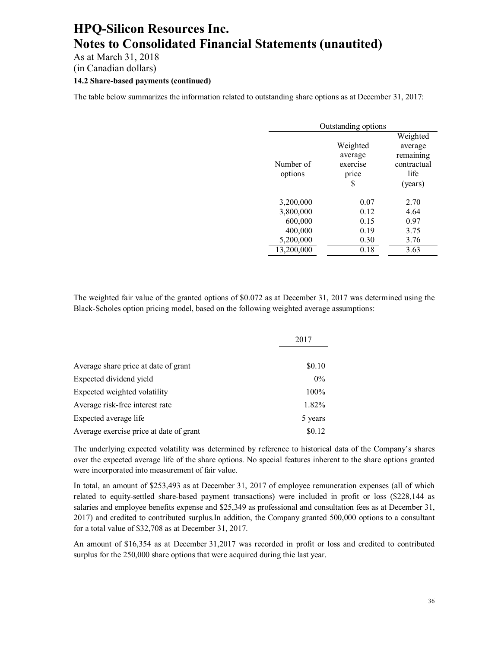As at March 31, 2018

(in Canadian dollars)

### **14.2 Share-based payments (continued)**

The table below summarizes the information related to outstanding share options as at December 31, 2017:

| Outstanding options |          |             |  |
|---------------------|----------|-------------|--|
|                     |          | Weighted    |  |
|                     | Weighted | average     |  |
|                     | average  | remaining   |  |
| Number of           | exercise | contractual |  |
| options             | price    | life        |  |
|                     | \$       | (years)     |  |
|                     |          |             |  |
| 3,200,000           | 0.07     | 2.70        |  |
| 3,800,000           | 0.12     | 4.64        |  |
| 600,000             | 0.15     | 0.97        |  |
| 400,000             | 0.19     | 3.75        |  |
| 5,200,000           | 0.30     | 3.76        |  |
| 13,200,000          | 0.18     | 3.63        |  |

The weighted fair value of the granted options of \$0.072 as at December 31, 2017 was determined using the Black-Scholes option pricing model, based on the following weighted average assumptions:

|                                         | 2017    |
|-----------------------------------------|---------|
|                                         |         |
| Average share price at date of grant    | \$0.10  |
| Expected dividend yield                 | $0\%$   |
| Expected weighted volatility            | $100\%$ |
| Average risk-free interest rate         | 1.82%   |
| Expected average life                   | 5 years |
| Average exercise price at date of grant | \$0.12  |

The underlying expected volatility was determined by reference to historical data of the Company's shares over the expected average life of the share options. No special features inherent to the share options granted were incorporated into measurement of fair value.

In total, an amount of \$253,493 as at December 31, 2017 of employee remuneration expenses (all of which related to equity-settled share-based payment transactions) were included in profit or loss (\$228,144 as salaries and employee benefits expense and \$25,349 as professional and consultation fees as at December 31, 2017) and credited to contributed surplus.In addition, the Company granted 500,000 options to a consultant for a total value of \$32,708 as at December 31, 2017.

An amount of \$16,354 as at December 31,2017 was recorded in profit or loss and credited to contributed surplus for the 250,000 share options that were acquired during thie last year.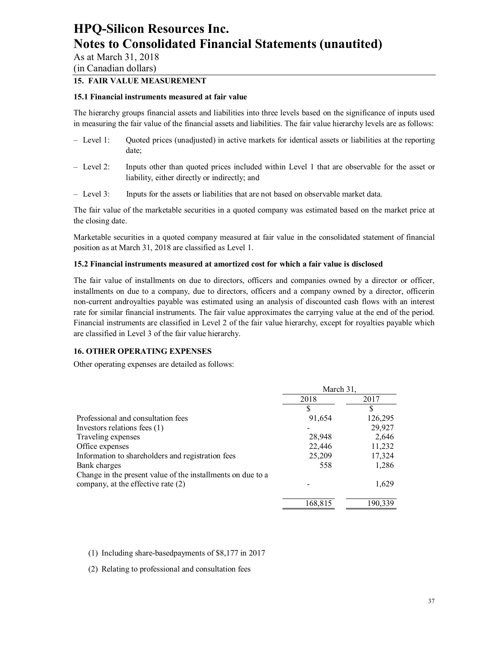As at March 31, 2018 (in Canadian dollars)

#### **15. FAIR VALUE MEASUREMENT**

#### **15.1 Financial instruments measured at fair value**

The hierarchy groups financial assets and liabilities into three levels based on the significance of inputs used in measuring the fair value of the financial assets and liabilities. The fair value hierarchy levels are as follows:

- Level 1: Quoted prices (unadjusted) in active markets for identical assets or liabilities at the reporting date;
- Level 2: Inputs other than quoted prices included within Level 1 that are observable for the asset or liability, either directly or indirectly; and
- Level 3: Inputs for the assets or liabilities that are not based on observable market data.

The fair value of the marketable securities in a quoted company was estimated based on the market price at the closing date.

Marketable securities in a quoted company measured at fair value in the consolidated statement of financial position as at March 31, 2018 are classified as Level 1.

#### **15.2 Financial instruments measured at amortized cost for which a fair value is disclosed**

The fair value of installments on due to directors, officers and companies owned by a director or officer, installments on due to a company, due to directors, officers and a company owned by a director, officerin non-current androyalties payable was estimated using an analysis of discounted cash flows with an interest rate for similar financial instruments. The fair value approximates the carrying value at the end of the period. Financial instruments are classified in Level 2 of the fair value hierarchy, except for royalties payable which are classified in Level 3 of the fair value hierarchy.

#### **16. OTHER OPERATING EXPENSES**

Other operating expenses are detailed as follows:

|                                                             | March 31, |         |
|-------------------------------------------------------------|-----------|---------|
|                                                             | 2018      | 2017    |
|                                                             | S         | S       |
| Professional and consultation fees                          | 91,654    | 126,295 |
| Investors relations fees (1)                                |           | 29,927  |
| Traveling expenses                                          | 28,948    | 2,646   |
| Office expenses                                             | 22,446    | 11,232  |
| Information to shareholders and registration fees           | 25,209    | 17,324  |
| Bank charges                                                | 558       | 1,286   |
| Change in the present value of the installments on due to a |           |         |
| company, at the effective rate (2)                          |           | 1,629   |
|                                                             | 168,815   | 190.339 |

(1) Including share-basedpayments of \$8,177 in 2017

(2) Relating to professional and consultation fees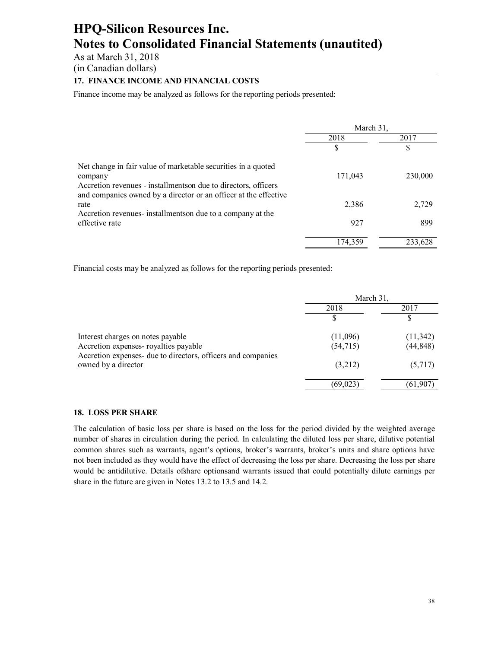As at March 31, 2018

(in Canadian dollars)

### **17. FINANCE INCOME AND FINANCIAL COSTS**

Finance income may be analyzed as follows for the reporting periods presented:

|                                                                  | March 31, |         |
|------------------------------------------------------------------|-----------|---------|
|                                                                  | 2018      | 2017    |
|                                                                  | \$        | S       |
| Net change in fair value of marketable securities in a quoted    |           |         |
| company                                                          | 171,043   | 230,000 |
| Accretion revenues - installments on due to directors, officers  |           |         |
| and companies owned by a director or an officer at the effective |           |         |
| rate                                                             | 2,386     | 2,729   |
| Accretion revenues- installments on due to a company at the      |           |         |
| effective rate                                                   | 927       | 899     |
|                                                                  | 174.359   | 233,628 |

Financial costs may be analyzed as follows for the reporting periods presented:

|                                                                                                      | March 31, |           |
|------------------------------------------------------------------------------------------------------|-----------|-----------|
|                                                                                                      | 2018      | 2017      |
|                                                                                                      |           |           |
| Interest charges on notes payable                                                                    | (11,096)  | (11, 342) |
| Accretion expenses-royalties payable<br>Accretion expenses- due to directors, officers and companies | (54, 715) | (44, 848) |
| owned by a director                                                                                  | (3,212)   | (5,717)   |
|                                                                                                      | (69, 023) | (61, 907) |

#### **18. LOSS PER SHARE**

The calculation of basic loss per share is based on the loss for the period divided by the weighted average number of shares in circulation during the period. In calculating the diluted loss per share, dilutive potential common shares such as warrants, agent's options, broker's warrants, broker's units and share options have not been included as they would have the effect of decreasing the loss per share. Decreasing the loss per share would be antidilutive. Details ofshare optionsand warrants issued that could potentially dilute earnings per share in the future are given in Notes 13.2 to 13.5 and 14.2.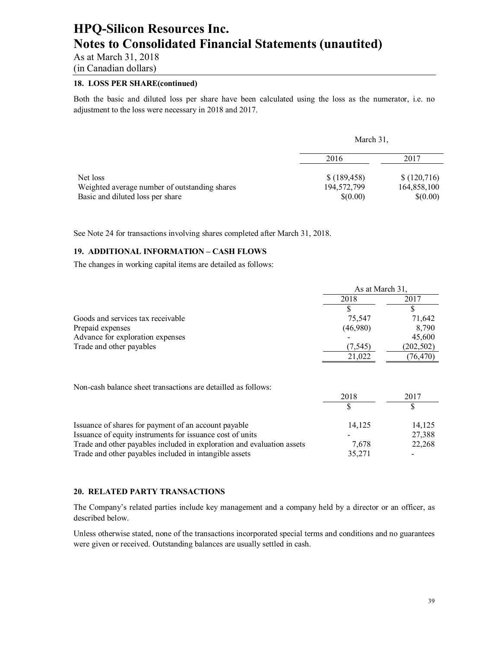As at March 31, 2018

### (in Canadian dollars)

### **18. LOSS PER SHARE(continued)**

Both the basic and diluted loss per share have been calculated using the loss as the numerator, i.e. no adjustment to the loss were necessary in 2018 and 2017.

|                                               | March 31,    |             |
|-----------------------------------------------|--------------|-------------|
|                                               | 2016         | 2017        |
| Net loss                                      | \$(189, 458) | \$(120,716) |
| Weighted average number of outstanding shares | 194,572,799  | 164,858,100 |
| Basic and diluted loss per share              | \$(0.00)     | \$(0.00)    |

See Note 24 for transactions involving shares completed after March 31, 2018.

#### **19. ADDITIONAL INFORMATION – CASH FLOWS**

The changes in working capital items are detailed as follows:

|                                                                        | As at March 31, |            |
|------------------------------------------------------------------------|-----------------|------------|
|                                                                        | 2018            | 2017       |
|                                                                        |                 |            |
| Goods and services tax receivable                                      | 75,547          | 71,642     |
| Prepaid expenses                                                       | (46,980)        | 8,790      |
| Advance for exploration expenses                                       |                 | 45,600     |
| Trade and other payables                                               | (7, 545)        | (202, 502) |
|                                                                        | 21,022          | (76, 470)  |
| Non-cash balance sheet transactions are detailled as follows:          |                 |            |
|                                                                        | 2018            | 2017       |
|                                                                        | \$              | \$         |
| Issuance of shares for payment of an account payable                   | 14,125          | 14,125     |
| Issuance of equity instruments for issuance cost of units              |                 | 27,388     |
| Trade and other payables included in exploration and evaluation assets | 7,678           | 22,268     |
| Trade and other payables included in intangible assets                 | 35,271          |            |

#### **20. RELATED PARTY TRANSACTIONS**

The Company's related parties include key management and a company held by a director or an officer, as described below.

Unless otherwise stated, none of the transactions incorporated special terms and conditions and no guarantees were given or received. Outstanding balances are usually settled in cash.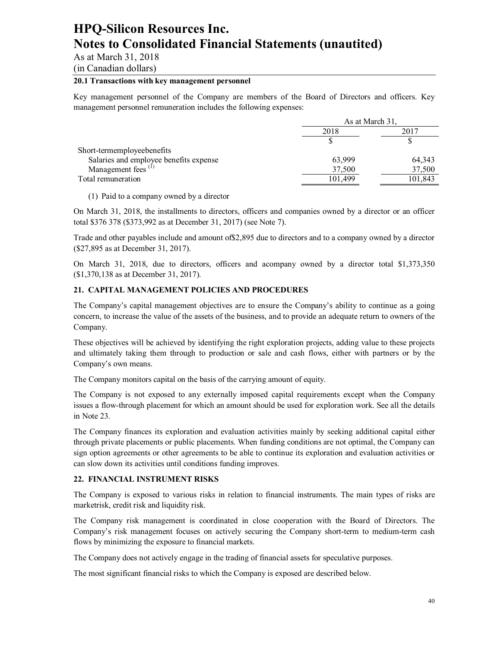As at March 31, 2018

(in Canadian dollars)

#### **20.1 Transactions with key management personnel**

Key management personnel of the Company are members of the Board of Directors and officers. Key management personnel remuneration includes the following expenses:

|                                        |         | As at March 31. |  |
|----------------------------------------|---------|-----------------|--|
|                                        | 2018    | 2017            |  |
|                                        |         |                 |  |
| Short-termemployeebenefits             |         |                 |  |
| Salaries and employee benefits expense | 63,999  | 64,343          |  |
| Management fees <sup>(1)</sup>         | 37,500  | 37,500          |  |
| Total remuneration                     | 101.499 | 101,843         |  |

(1) Paid to a company owned by a director

On March 31, 2018, the installments to directors, officers and companies owned by a director or an officer total \$376 378 (\$373,992 as at December 31, 2017) (see Note 7).

Trade and other payables include and amount of\$2,895 due to directors and to a company owned by a director (\$27,895 as at December 31, 2017).

On March 31, 2018, due to directors, officers and acompany owned by a director total \$1,373,350 (\$1,370,138 as at December 31, 2017).

#### **21. CAPITAL MANAGEMENT POLICIES AND PROCEDURES**

The Company's capital management objectives are to ensure the Company's ability to continue as a going concern, to increase the value of the assets of the business, and to provide an adequate return to owners of the Company.

These objectives will be achieved by identifying the right exploration projects, adding value to these projects and ultimately taking them through to production or sale and cash flows, either with partners or by the Company's own means.

The Company monitors capital on the basis of the carrying amount of equity.

The Company is not exposed to any externally imposed capital requirements except when the Company issues a flow-through placement for which an amount should be used for exploration work. See all the details in Note 23.

The Company finances its exploration and evaluation activities mainly by seeking additional capital either through private placements or public placements. When funding conditions are not optimal, the Company can sign option agreements or other agreements to be able to continue its exploration and evaluation activities or can slow down its activities until conditions funding improves.

#### **22. FINANCIAL INSTRUMENT RISKS**

The Company is exposed to various risks in relation to financial instruments. The main types of risks are marketrisk, credit risk and liquidity risk.

The Company risk management is coordinated in close cooperation with the Board of Directors. The Company's risk management focuses on actively securing the Company short-term to medium-term cash flows by minimizing the exposure to financial markets.

The Company does not actively engage in the trading of financial assets for speculative purposes.

The most significant financial risks to which the Company is exposed are described below.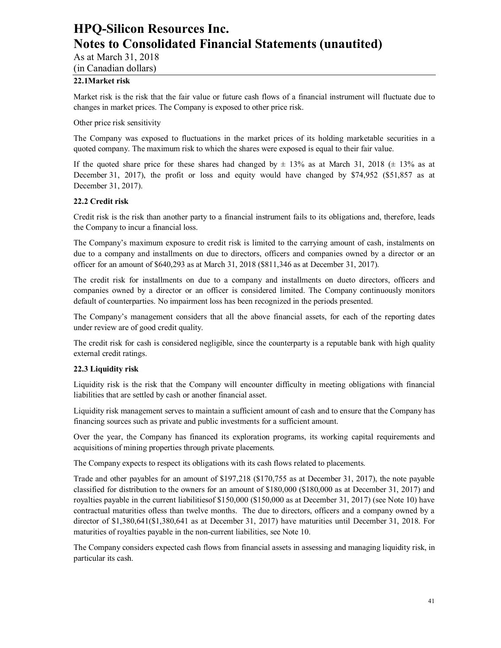### As at March 31, 2018

(in Canadian dollars)

### **22.1Market risk**

Market risk is the risk that the fair value or future cash flows of a financial instrument will fluctuate due to changes in market prices. The Company is exposed to other price risk.

Other price risk sensitivity

The Company was exposed to fluctuations in the market prices of its holding marketable securities in a quoted company. The maximum risk to which the shares were exposed is equal to their fair value.

If the quoted share price for these shares had changed by  $\pm$  13% as at March 31, 2018 ( $\pm$  13% as at December 31, 2017), the profit or loss and equity would have changed by \$74,952 (\$51,857 as at December 31, 2017).

#### **22.2 Credit risk**

Credit risk is the risk than another party to a financial instrument fails to its obligations and, therefore, leads the Company to incur a financial loss.

The Company's maximum exposure to credit risk is limited to the carrying amount of cash, instalments on due to a company and installments on due to directors, officers and companies owned by a director or an officer for an amount of \$640,293 as at March 31, 2018 (\$811,346 as at December 31, 2017).

The credit risk for installments on due to a company and installments on dueto directors, officers and companies owned by a director or an officer is considered limited. The Company continuously monitors default of counterparties. No impairment loss has been recognized in the periods presented.

The Company's management considers that all the above financial assets, for each of the reporting dates under review are of good credit quality.

The credit risk for cash is considered negligible, since the counterparty is a reputable bank with high quality external credit ratings.

#### **22.3 Liquidity risk**

Liquidity risk is the risk that the Company will encounter difficulty in meeting obligations with financial liabilities that are settled by cash or another financial asset.

Liquidity risk management serves to maintain a sufficient amount of cash and to ensure that the Company has financing sources such as private and public investments for a sufficient amount.

Over the year, the Company has financed its exploration programs, its working capital requirements and acquisitions of mining properties through private placements.

The Company expects to respect its obligations with its cash flows related to placements.

Trade and other payables for an amount of \$197,218 (\$170,755 as at December 31, 2017), the note payable classified for distribution to the owners for an amount of \$180,000 (\$180,000 as at December 31, 2017) and royalties payable in the current liabilitiesof \$150,000 (\$150,000 as at December 31, 2017) (see Note 10) have contractual maturities ofless than twelve months. The due to directors, officers and a company owned by a director of \$1,380,641(\$1,380,641 as at December 31, 2017) have maturities until December 31, 2018. For maturities of royalties payable in the non-current liabilities, see Note 10.

The Company considers expected cash flows from financial assets in assessing and managing liquidity risk, in particular its cash.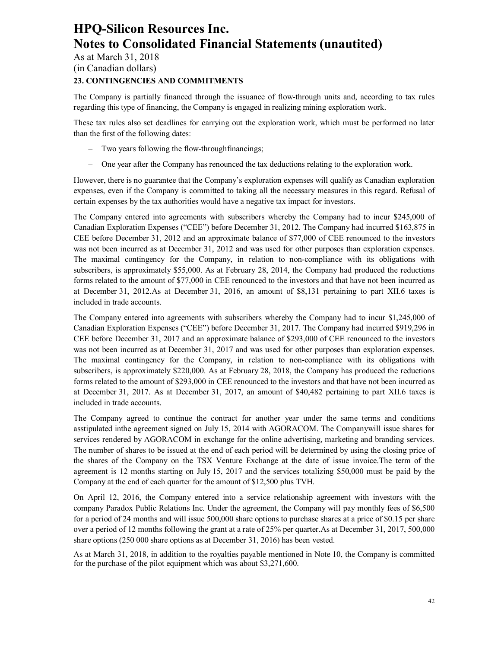As at March 31, 2018

(in Canadian dollars)

### **23. CONTINGENCIES AND COMMITMENTS**

The Company is partially financed through the issuance of flow-through units and, according to tax rules regarding this type of financing, the Company is engaged in realizing mining exploration work.

These tax rules also set deadlines for carrying out the exploration work, which must be performed no later than the first of the following dates:

- Two years following the flow-throughfinancings;
- One year after the Company has renounced the tax deductions relating to the exploration work.

However, there is no guarantee that the Company's exploration expenses will qualify as Canadian exploration expenses, even if the Company is committed to taking all the necessary measures in this regard. Refusal of certain expenses by the tax authorities would have a negative tax impact for investors.

The Company entered into agreements with subscribers whereby the Company had to incur \$245,000 of Canadian Exploration Expenses ("CEE") before December 31, 2012. The Company had incurred \$163,875 in CEE before December 31, 2012 and an approximate balance of \$77,000 of CEE renounced to the investors was not been incurred as at December 31, 2012 and was used for other purposes than exploration expenses. The maximal contingency for the Company, in relation to non-compliance with its obligations with subscribers, is approximately \$55,000. As at February 28, 2014, the Company had produced the reductions forms related to the amount of \$77,000 in CEE renounced to the investors and that have not been incurred as at December 31, 2012.As at December 31, 2016, an amount of \$8,131 pertaining to part XII.6 taxes is included in trade accounts.

The Company entered into agreements with subscribers whereby the Company had to incur \$1,245,000 of Canadian Exploration Expenses ("CEE") before December 31, 2017. The Company had incurred \$919,296 in CEE before December 31, 2017 and an approximate balance of \$293,000 of CEE renounced to the investors was not been incurred as at December 31, 2017 and was used for other purposes than exploration expenses. The maximal contingency for the Company, in relation to non-compliance with its obligations with subscribers, is approximately \$220,000. As at February 28, 2018, the Company has produced the reductions forms related to the amount of \$293,000 in CEE renounced to the investors and that have not been incurred as at December 31, 2017. As at December 31, 2017, an amount of \$40,482 pertaining to part XII.6 taxes is included in trade accounts.

The Company agreed to continue the contract for another year under the same terms and conditions asstipulated inthe agreement signed on July 15, 2014 with AGORACOM. The Companywill issue shares for services rendered by AGORACOM in exchange for the online advertising, marketing and branding services. The number of shares to be issued at the end of each period will be determined by using the closing price of the shares of the Company on the TSX Venture Exchange at the date of issue invoice.The term of the agreement is 12 months starting on July 15, 2017 and the services totalizing \$50,000 must be paid by the Company at the end of each quarter for the amount of \$12,500 plus TVH.

On April 12, 2016, the Company entered into a service relationship agreement with investors with the company Paradox Public Relations Inc. Under the agreement, the Company will pay monthly fees of \$6,500 for a period of 24 months and will issue 500,000 share options to purchase shares at a price of \$0.15 per share over a period of 12 months following the grant at a rate of 25% per quarter.As at December 31, 2017, 500,000 share options (250 000 share options as at December 31, 2016) has been vested.

As at March 31, 2018, in addition to the royalties payable mentioned in Note 10, the Company is committed for the purchase of the pilot equipment which was about \$3,271,600.